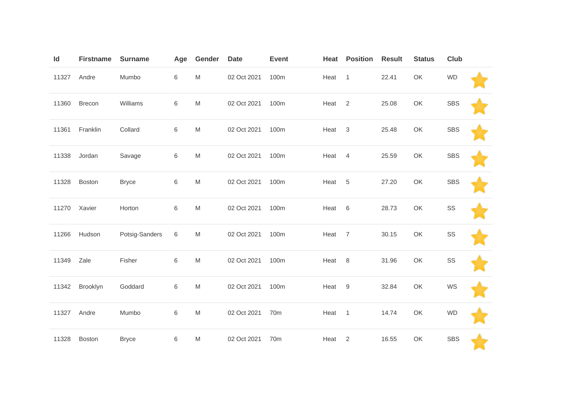| $\mathsf{Id}$ | <b>Firstname</b> | <b>Surname</b> | Age     | Gender                                                                                | <b>Date</b> | <b>Event</b>    | Heat   | <b>Position</b> | <b>Result</b> | <b>Status</b> | <b>Club</b> |  |
|---------------|------------------|----------------|---------|---------------------------------------------------------------------------------------|-------------|-----------------|--------|-----------------|---------------|---------------|-------------|--|
| 11327         | Andre            | Mumbo          | 6       | M                                                                                     | 02 Oct 2021 | 100m            | Heat 1 |                 | 22.41         | OK            | <b>WD</b>   |  |
| 11360         | <b>Brecon</b>    | Williams       | 6       | $\mathsf{M}% _{T}=\mathsf{M}_{T}\!\left( a,b\right) ,\ \mathsf{M}_{T}=\mathsf{M}_{T}$ | 02 Oct 2021 | 100m            | Heat   | 2               | 25.08         | OK            | <b>SBS</b>  |  |
| 11361         | Franklin         | Collard        | 6       | $\mathsf{M}% _{T}=\mathsf{M}_{T}\!\left( a,b\right) ,\ \mathsf{M}_{T}=\mathsf{M}_{T}$ | 02 Oct 2021 | 100m            | Heat   | $\mathbf{3}$    | 25.48         | OK            | <b>SBS</b>  |  |
| 11338         | Jordan           | Savage         | 6       | M                                                                                     | 02 Oct 2021 | 100m            | Heat   | 4               | 25.59         | OK            | <b>SBS</b>  |  |
| 11328         | Boston           | <b>Bryce</b>   | 6       | $\mathsf{M}% _{T}=\mathsf{M}_{T}\!\left( a,b\right) ,\ \mathsf{M}_{T}=\mathsf{M}_{T}$ | 02 Oct 2021 | 100m            | Heat   | 5               | 27.20         | OK            | <b>SBS</b>  |  |
| 11270         | Xavier           | Horton         | 6       | $\mathsf{M}% _{T}=\mathsf{M}_{T}\!\left( a,b\right) ,\ \mathsf{M}_{T}=\mathsf{M}_{T}$ | 02 Oct 2021 | 100m            | Heat   | 6               | 28.73         | OK            | SS          |  |
| 11266         | Hudson           | Potsig-Sanders | 6       | M                                                                                     | 02 Oct 2021 | 100m            | Heat   | $\overline{7}$  | 30.15         | OK            | SS          |  |
| 11349         | Zale             | Fisher         | 6       | M                                                                                     | 02 Oct 2021 | 100m            | Heat   | 8               | 31.96         | OK            | SS          |  |
| 11342         | Brooklyn         | Goddard        | $\,6\,$ | $\mathsf{M}% _{T}=\mathsf{M}_{T}\!\left( a,b\right) ,\ \mathsf{M}_{T}=\mathsf{M}_{T}$ | 02 Oct 2021 | 100m            | Heat   | 9               | 32.84         | OK            | WS          |  |
| 11327         | Andre            | Mumbo          | 6       | ${\sf M}$                                                                             | 02 Oct 2021 | 70m             | Heat 1 |                 | 14.74         | OK            | <b>WD</b>   |  |
| 11328         | <b>Boston</b>    | <b>Bryce</b>   | 6       | M                                                                                     | 02 Oct 2021 | 70 <sub>m</sub> | Heat   | $\overline{2}$  | 16.55         | OK            | <b>SBS</b>  |  |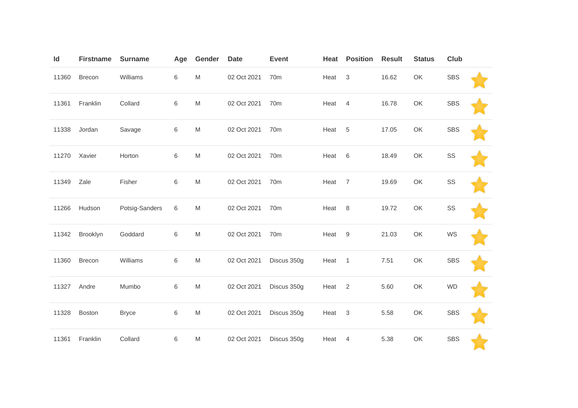| Id    | <b>Firstname</b> | <b>Surname</b> | Age | Gender                                                                                                     | <b>Date</b> | <b>Event</b>    | Heat   | <b>Position</b> | <b>Result</b> | <b>Status</b>                                                | <b>Club</b> |  |
|-------|------------------|----------------|-----|------------------------------------------------------------------------------------------------------------|-------------|-----------------|--------|-----------------|---------------|--------------------------------------------------------------|-------------|--|
| 11360 | Brecon           | Williams       | 6   | $\mathsf{M}% _{T}=\mathsf{M}_{T}\!\left( a,b\right) ,\ \mathsf{M}_{T}=\mathsf{M}_{T}\!\left( a,b\right) ,$ | 02 Oct 2021 | 70 <sub>m</sub> | Heat   | $\mathbf{3}$    | 16.62         | OK                                                           | <b>SBS</b>  |  |
| 11361 | Franklin         | Collard        | 6   | $\mathsf{M}% _{T}=\mathsf{M}_{T}\!\left( a,b\right) ,\ \mathsf{M}_{T}=\mathsf{M}_{T}\!\left( a,b\right) ,$ | 02 Oct 2021 | 70 <sub>m</sub> | Heat   | $\overline{4}$  | 16.78         | OK                                                           | <b>SBS</b>  |  |
| 11338 | Jordan           | Savage         | 6   | $\mathsf{M}% _{T}=\mathsf{M}_{T}\!\left( a,b\right) ,\ \mathsf{M}_{T}=\mathsf{M}_{T}$                      | 02 Oct 2021 | 70 <sub>m</sub> | Heat   | 5               | 17.05         | OK                                                           | <b>SBS</b>  |  |
| 11270 | Xavier           | Horton         | 6   | M                                                                                                          | 02 Oct 2021 | 70m             | Heat   | $6\,$           | 18.49         | OK                                                           | SS          |  |
| 11349 | Zale             | Fisher         | 6   | $\mathsf{M}% _{T}=\mathsf{M}_{T}\!\left( a,b\right) ,\ \mathsf{M}_{T}=\mathsf{M}_{T}\!\left( a,b\right) ,$ | 02 Oct 2021 | 70 <sub>m</sub> | Heat   | $\overline{7}$  | 19.69         | OK                                                           | SS          |  |
| 11266 | Hudson           | Potsig-Sanders | 6   | $\mathsf{M}% _{T}=\mathsf{M}_{T}\!\left( a,b\right) ,\ \mathsf{M}_{T}=\mathsf{M}_{T}$                      | 02 Oct 2021 | 70 <sub>m</sub> | Heat   | $\,8\,$         | 19.72         | OK                                                           | SS          |  |
| 11342 | Brooklyn         | Goddard        | 6   | $\mathsf{M}% _{T}=\mathsf{M}_{T}\!\left( a,b\right) ,\ \mathsf{M}_{T}=\mathsf{M}_{T}\!\left( a,b\right) ,$ | 02 Oct 2021 | 70 <sub>m</sub> | Heat   | 9               | 21.03         | OK                                                           | WS          |  |
| 11360 | Brecon           | Williams       | 6   | $\mathsf{M}% _{T}=\mathsf{M}_{T}\!\left( a,b\right) ,\ \mathsf{M}_{T}=\mathsf{M}_{T}\!\left( a,b\right) ,$ | 02 Oct 2021 | Discus 350g     | Heat   | $\overline{1}$  | 7.51          | OK                                                           | <b>SBS</b>  |  |
| 11327 | Andre            | Mumbo          | 6   | $\mathsf{M}% _{T}=\mathsf{M}_{T}\!\left( a,b\right) ,\ \mathsf{M}_{T}=\mathsf{M}_{T}$                      | 02 Oct 2021 | Discus 350g     | Heat   | 2               | 5.60          | OK                                                           | <b>WD</b>   |  |
| 11328 | Boston           | <b>Bryce</b>   | 6   | $\mathsf{M}% _{T}=\mathsf{M}_{T}\!\left( a,b\right) ,\ \mathsf{M}_{T}=\mathsf{M}_{T}\!\left( a,b\right) ,$ | 02 Oct 2021 | Discus 350g     | Heat 3 |                 | 5.58          | $\mathsf{OK}% _{\mathsf{CL}}\times\mathsf{CN}_{\mathsf{CL}}$ | <b>SBS</b>  |  |
| 11361 | Franklin         | Collard        | 6   | M                                                                                                          | 02 Oct 2021 | Discus 350g     | Heat   | $\overline{4}$  | 5.38          | OK                                                           | <b>SBS</b>  |  |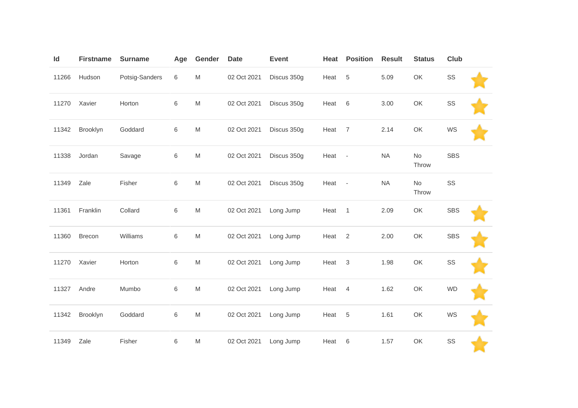| Id    | <b>Firstname</b> | <b>Surname</b> | Age | Gender                                                                                                     | <b>Date</b> | Event       | Heat   | <b>Position</b> | <b>Result</b> | <b>Status</b> | <b>Club</b>   |  |
|-------|------------------|----------------|-----|------------------------------------------------------------------------------------------------------------|-------------|-------------|--------|-----------------|---------------|---------------|---------------|--|
| 11266 | Hudson           | Potsig-Sanders | 6   | $\mathsf{M}% _{T}=\mathsf{M}_{T}\!\left( a,b\right) ,\ \mathsf{M}_{T}=\mathsf{M}_{T}\!\left( a,b\right) ,$ | 02 Oct 2021 | Discus 350g | Heat   | $\sqrt{5}$      | 5.09          | OK            | $\texttt{SS}$ |  |
| 11270 | Xavier           | Horton         | 6   | $\mathsf{M}% _{T}=\mathsf{M}_{T}\!\left( a,b\right) ,\ \mathsf{M}_{T}=\mathsf{M}_{T}$                      | 02 Oct 2021 | Discus 350g | Heat   | 6               | 3.00          | OK            | SS            |  |
| 11342 | Brooklyn         | Goddard        | 6   | $\mathsf{M}% _{T}=\mathsf{M}_{T}\!\left( a,b\right) ,\ \mathsf{M}_{T}=\mathsf{M}_{T}\!\left( a,b\right) ,$ | 02 Oct 2021 | Discus 350g | Heat   | $\overline{7}$  | 2.14          | OK            | WS            |  |
| 11338 | Jordan           | Savage         | 6   | $\mathsf{M}% _{T}=\mathsf{M}_{T}\!\left( a,b\right) ,\ \mathsf{M}_{T}=\mathsf{M}_{T}$                      | 02 Oct 2021 | Discus 350g | Heat - |                 | <b>NA</b>     | No<br>Throw   | <b>SBS</b>    |  |
| 11349 | Zale             | Fisher         | 6   | $\mathsf{M}% _{T}=\mathsf{M}_{T}\!\left( a,b\right) ,\ \mathsf{M}_{T}=\mathsf{M}_{T}\!\left( a,b\right) ,$ | 02 Oct 2021 | Discus 350g | Heat - |                 | <b>NA</b>     | No<br>Throw   | SS            |  |
| 11361 | Franklin         | Collard        | 6   | $\mathsf{M}% _{T}=\mathsf{M}_{T}\!\left( a,b\right) ,\ \mathsf{M}_{T}=\mathsf{M}_{T}\!\left( a,b\right) ,$ | 02 Oct 2021 | Long Jump   | Heat   | $\overline{1}$  | 2.09          | OK            | <b>SBS</b>    |  |
| 11360 | Brecon           | Williams       | 6   | $\mathsf{M}% _{T}=\mathsf{M}_{T}\!\left( a,b\right) ,\ \mathsf{M}_{T}=\mathsf{M}_{T}\!\left( a,b\right) ,$ | 02 Oct 2021 | Long Jump   | Heat   | $\overline{2}$  | 2.00          | OK            | <b>SBS</b>    |  |
| 11270 | Xavier           | Horton         | 6   | $\mathsf{M}% _{T}=\mathsf{M}_{T}\!\left( a,b\right) ,\ \mathsf{M}_{T}=\mathsf{M}_{T}\!\left( a,b\right) ,$ | 02 Oct 2021 | Long Jump   | Heat   | 3               | 1.98          | OK            | SS            |  |
| 11327 | Andre            | Mumbo          | 6   | $\mathsf{M}% _{T}=\mathsf{M}_{T}\!\left( a,b\right) ,\ \mathsf{M}_{T}=\mathsf{M}_{T}\!\left( a,b\right) ,$ | 02 Oct 2021 | Long Jump   | Heat   | $\overline{4}$  | 1.62          | OK            | <b>WD</b>     |  |
| 11342 | Brooklyn         | Goddard        | 6   | $\mathsf{M}% _{T}=\mathsf{M}_{T}\!\left( a,b\right) ,\ \mathsf{M}_{T}=\mathsf{M}_{T}\!\left( a,b\right) ,$ | 02 Oct 2021 | Long Jump   | Heat   | 5               | 1.61          | OK            | WS            |  |
| 11349 | Zale             | Fisher         | 6   | ${\sf M}$                                                                                                  | 02 Oct 2021 | Long Jump   | Heat   | 6               | 1.57          | OK            | SS            |  |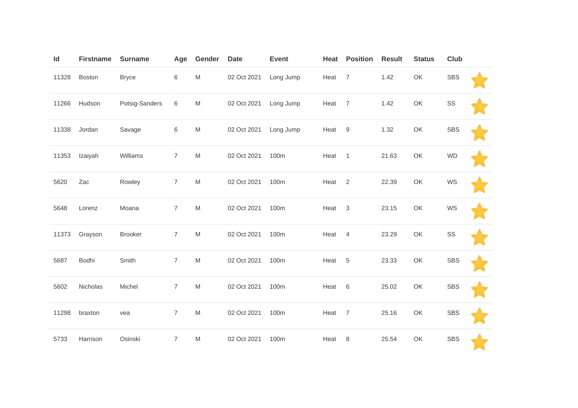| Id    | <b>Firstname</b> | <b>Surname</b> | Age            | Gender                                                                                                     | <b>Date</b> | <b>Event</b> | Heat | <b>Position</b> | <b>Result</b> | <b>Status</b> | Club       |  |
|-------|------------------|----------------|----------------|------------------------------------------------------------------------------------------------------------|-------------|--------------|------|-----------------|---------------|---------------|------------|--|
| 11328 | Boston           | <b>Bryce</b>   | 6              | ${\sf M}$                                                                                                  | 02 Oct 2021 | Long Jump    | Heat | $\overline{7}$  | 1.42          | OK            | <b>SBS</b> |  |
| 11266 | Hudson           | Potsig-Sanders | 6              | ${\sf M}$                                                                                                  | 02 Oct 2021 | Long Jump    | Heat | $\overline{7}$  | 1.42          | OK            | SS         |  |
| 11338 | Jordan           | Savage         | 6              | $\mathsf{M}% _{T}=\mathsf{M}_{T}\!\left( a,b\right) ,\ \mathsf{M}_{T}=\mathsf{M}_{T}\!\left( a,b\right) ,$ | 02 Oct 2021 | Long Jump    | Heat | 9               | 1.32          | OK            | <b>SBS</b> |  |
| 11353 | Izaiyah          | Williams       | $\overline{7}$ | ${\sf M}$                                                                                                  | 02 Oct 2021 | 100m         | Heat | $\overline{1}$  | 21.63         | OK            | <b>WD</b>  |  |
| 5620  | Zac              | Rowley         | $\overline{7}$ | $\mathsf{M}% _{T}=\mathsf{M}_{T}\!\left( a,b\right) ,\ \mathsf{M}_{T}=\mathsf{M}_{T}\!\left( a,b\right) ,$ | 02 Oct 2021 | 100m         | Heat | 2               | 22.39         | OK            | WS         |  |
| 5648  | Lorenz           | Moana          | $\overline{7}$ | ${\sf M}$                                                                                                  | 02 Oct 2021 | 100m         | Heat | $\mathbf{3}$    | 23.15         | OK            | WS         |  |
| 11373 | Grayson          | <b>Brooker</b> | $\overline{7}$ | ${\sf M}$                                                                                                  | 02 Oct 2021 | 100m         | Heat | $\overline{4}$  | 23.29         | OK            | SS         |  |
| 5687  | Bodhi            | Smith          | $\overline{7}$ | $\mathsf{M}% _{T}=\mathsf{M}_{T}\!\left( a,b\right) ,\ \mathsf{M}_{T}=\mathsf{M}_{T}\!\left( a,b\right) ,$ | 02 Oct 2021 | 100m         | Heat | 5               | 23.33         | OK            | <b>SBS</b> |  |
| 5602  | Nicholas         | Michel         | $\overline{7}$ | ${\sf M}$                                                                                                  | 02 Oct 2021 | 100m         | Heat | $\,6$           | 25.02         | OK            | <b>SBS</b> |  |
| 11298 | braxton          | vea            | $\overline{7}$ | $\mathsf{M}% _{T}=\mathsf{M}_{T}\!\left( a,b\right) ,\ \mathsf{M}_{T}=\mathsf{M}_{T}$                      | 02 Oct 2021 | 100m         | Heat | $\overline{7}$  | 25.16         | OK            | <b>SBS</b> |  |
| 5733  | Harrison         | Osinski        | $\overline{7}$ | M                                                                                                          | 02 Oct 2021 | 100m         | Heat | 8               | 25.54         | OK            | <b>SBS</b> |  |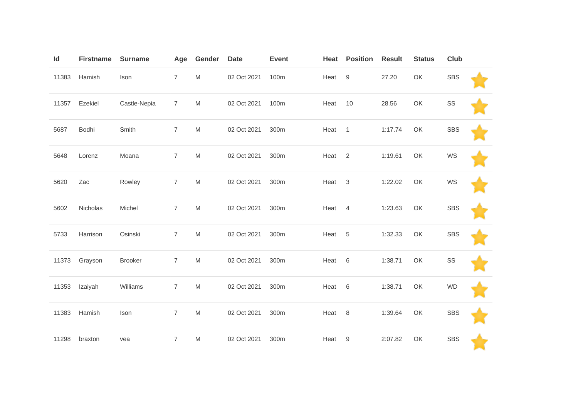| Id    | <b>Firstname</b> | <b>Surname</b> | Age            | Gender                                                                                                     | <b>Date</b> | <b>Event</b> | Heat   | <b>Position</b> | <b>Result</b> | <b>Status</b> | <b>Club</b> |  |
|-------|------------------|----------------|----------------|------------------------------------------------------------------------------------------------------------|-------------|--------------|--------|-----------------|---------------|---------------|-------------|--|
| 11383 | Hamish           | Ison           | $\overline{7}$ | ${\sf M}$                                                                                                  | 02 Oct 2021 | 100m         | Heat   | 9               | 27.20         | OK            | <b>SBS</b>  |  |
| 11357 | Ezekiel          | Castle-Nepia   | $\overline{7}$ | ${\sf M}$                                                                                                  | 02 Oct 2021 | 100m         | Heat   | 10              | 28.56         | OK            | SS          |  |
| 5687  | Bodhi            | Smith          | $\overline{7}$ | ${\sf M}$                                                                                                  | 02 Oct 2021 | 300m         | Heat   | $\overline{1}$  | 1:17.74       | OK            | <b>SBS</b>  |  |
| 5648  | Lorenz           | Moana          | $\overline{7}$ | M                                                                                                          | 02 Oct 2021 | 300m         | Heat   | $\overline{2}$  | 1:19.61       | OK            | WS          |  |
| 5620  | Zac              | Rowley         | $\overline{7}$ | $\mathsf{M}% _{T}=\mathsf{M}_{T}\!\left( a,b\right) ,\ \mathsf{M}_{T}=\mathsf{M}_{T}$                      | 02 Oct 2021 | 300m         | Heat   | $\mathbf{3}$    | 1:22.02       | OK            | WS          |  |
| 5602  | Nicholas         | Michel         | $\overline{7}$ | ${\sf M}$                                                                                                  | 02 Oct 2021 | 300m         | Heat   | $\overline{4}$  | 1:23.63       | OK            | <b>SBS</b>  |  |
| 5733  | Harrison         | Osinski        | $\overline{7}$ | ${\sf M}$                                                                                                  | 02 Oct 2021 | 300m         | Heat   | 5               | 1:32.33       | OK            | <b>SBS</b>  |  |
| 11373 | Grayson          | Brooker        | $\overline{7}$ | $\mathsf{M}% _{T}=\mathsf{M}_{T}\!\left( a,b\right) ,\ \mathsf{M}_{T}=\mathsf{M}_{T}\!\left( a,b\right) ,$ | 02 Oct 2021 | 300m         | Heat   | $6\,$           | 1:38.71       | OK            | SS          |  |
| 11353 | Izaiyah          | Williams       | $\overline{7}$ | M                                                                                                          | 02 Oct 2021 | 300m         | Heat   | $6\,$           | 1:38.71       | OK            | <b>WD</b>   |  |
| 11383 | Hamish           | Ison           | $\overline{7}$ | M                                                                                                          | 02 Oct 2021 | 300m         | Heat 8 |                 | 1:39.64       | OK            | <b>SBS</b>  |  |
| 11298 | braxton          | vea            | $\overline{7}$ | M                                                                                                          | 02 Oct 2021 | 300m         | Heat   | 9               | 2:07.82       | OK            | <b>SBS</b>  |  |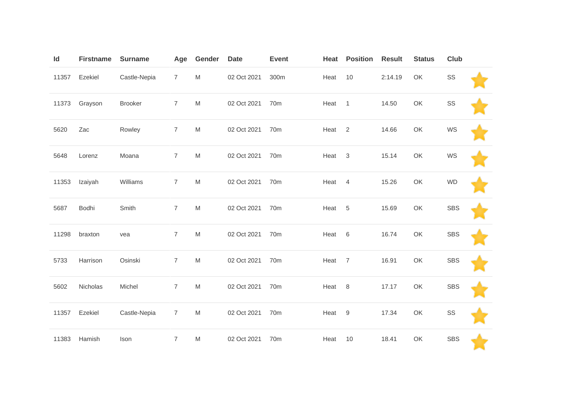| Id    | <b>Firstname</b> | <b>Surname</b> | Age            | Gender                                                                                                     | <b>Date</b> | <b>Event</b>    | Heat   | <b>Position</b> | <b>Result</b> | <b>Status</b> | <b>Club</b> |  |
|-------|------------------|----------------|----------------|------------------------------------------------------------------------------------------------------------|-------------|-----------------|--------|-----------------|---------------|---------------|-------------|--|
| 11357 | Ezekiel          | Castle-Nepia   | $\overline{7}$ | ${\sf M}$                                                                                                  | 02 Oct 2021 | 300m            | Heat   | 10              | 2:14.19       | OK            | SS          |  |
| 11373 | Grayson          | <b>Brooker</b> | $\overline{7}$ | ${\sf M}$                                                                                                  | 02 Oct 2021 | 70 <sub>m</sub> | Heat   | $\mathbf{1}$    | 14.50         | OK            | SS          |  |
| 5620  | Zac              | Rowley         | $\overline{7}$ | ${\sf M}$                                                                                                  | 02 Oct 2021 | 70 <sub>m</sub> | Heat   | $\overline{2}$  | 14.66         | OK            | WS          |  |
| 5648  | Lorenz           | Moana          | $\overline{7}$ | ${\sf M}$                                                                                                  | 02 Oct 2021 | 70 <sub>m</sub> | Heat   | $\mathbf{3}$    | 15.14         | OK            | WS          |  |
| 11353 | Izaiyah          | Williams       | $\overline{7}$ | $\mathsf{M}% _{T}=\mathsf{M}_{T}\!\left( a,b\right) ,\ \mathsf{M}_{T}=\mathsf{M}_{T}\!\left( a,b\right) ,$ | 02 Oct 2021 | 70m             | Heat   | $\overline{4}$  | 15.26         | OK            | <b>WD</b>   |  |
| 5687  | Bodhi            | Smith          | $\overline{7}$ | M                                                                                                          | 02 Oct 2021 | 70 <sub>m</sub> | Heat   | $\overline{5}$  | 15.69         | OK            | <b>SBS</b>  |  |
| 11298 | braxton          | vea            | $\overline{7}$ | ${\sf M}$                                                                                                  | 02 Oct 2021 | 70 <sub>m</sub> | Heat   | $6\,$           | 16.74         | OK            | <b>SBS</b>  |  |
| 5733  | Harrison         | Osinski        | $\overline{7}$ | $\mathsf{M}% _{T}=\mathsf{M}_{T}\!\left( a,b\right) ,\ \mathsf{M}_{T}=\mathsf{M}_{T}$                      | 02 Oct 2021 | 70m             | Heat   | $\overline{7}$  | 16.91         | OK            | <b>SBS</b>  |  |
| 5602  | Nicholas         | Michel         | $\overline{7}$ | M                                                                                                          | 02 Oct 2021 | 70 <sub>m</sub> | Heat   | 8               | 17.17         | OK            | <b>SBS</b>  |  |
| 11357 | Ezekiel          | Castle-Nepia   | $\overline{7}$ | $\mathsf{M}% _{T}=\mathsf{M}_{T}\!\left( a,b\right) ,\ \mathsf{M}_{T}=\mathsf{M}_{T}\!\left( a,b\right) ,$ | 02 Oct 2021 | 70 <sub>m</sub> | Heat 9 |                 | 17.34         | OK            | SS          |  |
| 11383 | Hamish           | Ison           | $\overline{7}$ | ${\sf M}$                                                                                                  | 02 Oct 2021 | 70 <sub>m</sub> | Heat   | 10              | 18.41         | OK            | <b>SBS</b>  |  |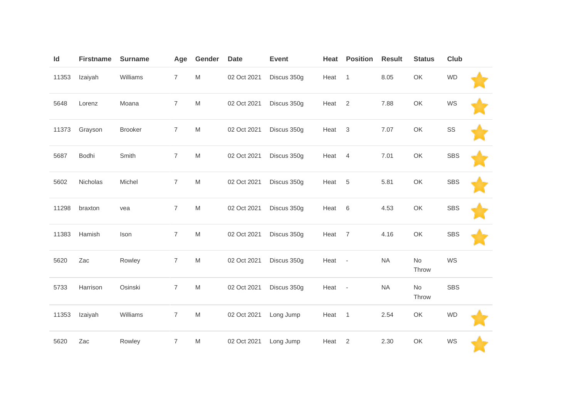| Id    | <b>Firstname</b> | <b>Surname</b> | Age            | Gender                                                                                | <b>Date</b> | <b>Event</b> | Heat              | <b>Position</b> | <b>Result</b> | <b>Status</b> | <b>Club</b> |  |
|-------|------------------|----------------|----------------|---------------------------------------------------------------------------------------|-------------|--------------|-------------------|-----------------|---------------|---------------|-------------|--|
| 11353 | Izaiyah          | Williams       | $\overline{7}$ | M                                                                                     | 02 Oct 2021 | Discus 350g  | Heat 1            |                 | 8.05          | OK            | <b>WD</b>   |  |
| 5648  | Lorenz           | Moana          | $\overline{7}$ | $\mathsf{M}% _{T}=\mathsf{M}_{T}\!\left( a,b\right) ,\ \mathsf{M}_{T}=\mathsf{M}_{T}$ | 02 Oct 2021 | Discus 350g  | Heat <sub>2</sub> |                 | 7.88          | OK            | WS          |  |
| 11373 | Grayson          | <b>Brooker</b> | $\overline{7}$ | M                                                                                     | 02 Oct 2021 | Discus 350g  | Heat 3            |                 | 7.07          | OK            | SS          |  |
| 5687  | Bodhi            | Smith          | $\overline{7}$ | M                                                                                     | 02 Oct 2021 | Discus 350g  | Heat 4            |                 | 7.01          | OK            | <b>SBS</b>  |  |
| 5602  | Nicholas         | Michel         | $\overline{7}$ | M                                                                                     | 02 Oct 2021 | Discus 350g  | Heat 5            |                 | 5.81          | OK            | <b>SBS</b>  |  |
| 11298 | braxton          | vea            | $\overline{7}$ | $\mathsf{M}% _{T}=\mathsf{M}_{T}\!\left( a,b\right) ,\ \mathsf{M}_{T}=\mathsf{M}_{T}$ | 02 Oct 2021 | Discus 350g  | Heat 6            |                 | 4.53          | OK            | <b>SBS</b>  |  |
| 11383 | Hamish           | Ison           | $\overline{7}$ | M                                                                                     | 02 Oct 2021 | Discus 350g  | Heat 7            |                 | 4.16          | OK            | <b>SBS</b>  |  |
| 5620  | Zac              | Rowley         | $\overline{7}$ | M                                                                                     | 02 Oct 2021 | Discus 350g  | Heat -            |                 | <b>NA</b>     | No<br>Throw   | WS          |  |
| 5733  | Harrison         | Osinski        | $\overline{7}$ | ${\sf M}$                                                                             | 02 Oct 2021 | Discus 350g  | Heat -            |                 | <b>NA</b>     | No<br>Throw   | <b>SBS</b>  |  |
| 11353 | Izaiyah          | Williams       | $\overline{7}$ | M                                                                                     | 02 Oct 2021 | Long Jump    | Heat 1            |                 | 2.54          | OK            | <b>WD</b>   |  |
| 5620  | Zac              | Rowley         | $\overline{7}$ | M                                                                                     | 02 Oct 2021 | Long Jump    | Heat              | $\overline{2}$  | 2.30          | OK            | WS          |  |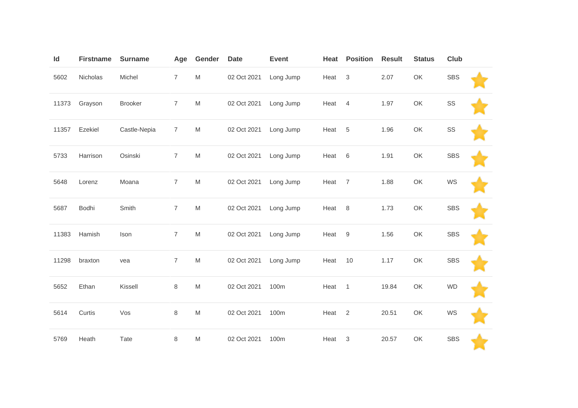| Id    | <b>Firstname</b> | <b>Surname</b> | Age            | Gender                                                                                                     | <b>Date</b> | <b>Event</b> | Heat | <b>Position</b> | <b>Result</b> | <b>Status</b> | Club       |  |
|-------|------------------|----------------|----------------|------------------------------------------------------------------------------------------------------------|-------------|--------------|------|-----------------|---------------|---------------|------------|--|
| 5602  | Nicholas         | Michel         | $\overline{7}$ | $\mathsf{M}% _{T}=\mathsf{M}_{T}\!\left( a,b\right) ,\ \mathsf{M}_{T}=\mathsf{M}_{T}\!\left( a,b\right) ,$ | 02 Oct 2021 | Long Jump    | Heat | $\mathsf 3$     | 2.07          | OK            | <b>SBS</b> |  |
| 11373 | Grayson          | <b>Brooker</b> | $\overline{7}$ | $\mathsf{M}% _{T}=\mathsf{M}_{T}\!\left( a,b\right) ,\ \mathsf{M}_{T}=\mathsf{M}_{T}\!\left( a,b\right) ,$ | 02 Oct 2021 | Long Jump    | Heat | $\overline{4}$  | 1.97          | OK            | SS         |  |
| 11357 | Ezekiel          | Castle-Nepia   | $\overline{7}$ | $\mathsf{M}% _{T}=\mathsf{M}_{T}\!\left( a,b\right) ,\ \mathsf{M}_{T}=\mathsf{M}_{T}\!\left( a,b\right) ,$ | 02 Oct 2021 | Long Jump    | Heat | $\sqrt{5}$      | 1.96          | OK            | SS         |  |
| 5733  | Harrison         | Osinski        | $\overline{7}$ | M                                                                                                          | 02 Oct 2021 | Long Jump    | Heat | 6               | 1.91          | OK            | <b>SBS</b> |  |
| 5648  | Lorenz           | Moana          | $\overline{7}$ | $\mathsf{M}% _{T}=\mathsf{M}_{T}\!\left( a,b\right) ,\ \mathsf{M}_{T}=\mathsf{M}_{T}\!\left( a,b\right) ,$ | 02 Oct 2021 | Long Jump    | Heat | $\overline{7}$  | 1.88          | OK            | WS         |  |
| 5687  | Bodhi            | Smith          | $\overline{7}$ | ${\sf M}$                                                                                                  | 02 Oct 2021 | Long Jump    | Heat | 8               | 1.73          | OK            | <b>SBS</b> |  |
| 11383 | Hamish           | Ison           | $\overline{7}$ | $\mathsf{M}% _{T}=\mathsf{M}_{T}\!\left( a,b\right) ,\ \mathsf{M}_{T}=\mathsf{M}_{T}\!\left( a,b\right) ,$ | 02 Oct 2021 | Long Jump    | Heat | 9               | 1.56          | OK            | <b>SBS</b> |  |
| 11298 | braxton          | vea            | $\overline{7}$ | $\mathsf{M}% _{T}=\mathsf{M}_{T}\!\left( a,b\right) ,\ \mathsf{M}_{T}=\mathsf{M}_{T}\!\left( a,b\right) ,$ | 02 Oct 2021 | Long Jump    | Heat | 10              | 1.17          | OK            | <b>SBS</b> |  |
| 5652  | Ethan            | Kissell        | 8              | $\mathsf{M}% _{T}=\mathsf{M}_{T}\!\left( a,b\right) ,\ \mathsf{M}_{T}=\mathsf{M}_{T}\!\left( a,b\right) ,$ | 02 Oct 2021 | 100m         | Heat | $\overline{1}$  | 19.84         | OK            | <b>WD</b>  |  |
| 5614  | Curtis           | Vos            | 8              | $\mathsf{M}% _{T}=\mathsf{M}_{T}\!\left( a,b\right) ,\ \mathsf{M}_{T}=\mathsf{M}_{T}\!\left( a,b\right) ,$ | 02 Oct 2021 | 100m         | Heat | $\overline{2}$  | 20.51         | OK            | WS         |  |
| 5769  | Heath            | Tate           | 8              | M                                                                                                          | 02 Oct 2021 | 100m         | Heat | 3               | 20.57         | OK            | <b>SBS</b> |  |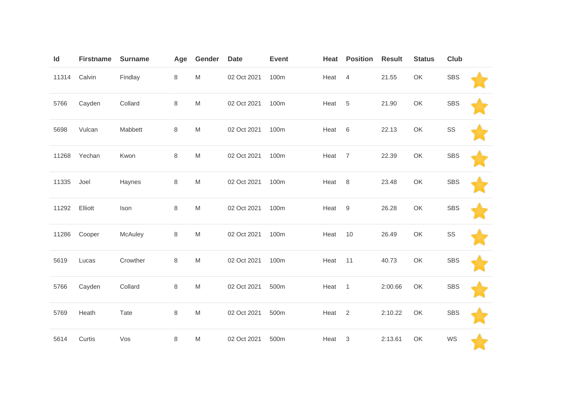| $\mathsf{Id}$ | <b>Firstname</b> | <b>Surname</b> | Age | Gender                                                                                | <b>Date</b> | <b>Event</b> | Heat              | <b>Position</b> | <b>Result</b> | <b>Status</b> | <b>Club</b> |  |
|---------------|------------------|----------------|-----|---------------------------------------------------------------------------------------|-------------|--------------|-------------------|-----------------|---------------|---------------|-------------|--|
| 11314         | Calvin           | Findlay        | 8   | M                                                                                     | 02 Oct 2021 | 100m         | Heat              | $\overline{4}$  | 21.55         | OK            | <b>SBS</b>  |  |
| 5766          | Cayden           | Collard        | 8   | ${\sf M}$                                                                             | 02 Oct 2021 | 100m         | Heat              | 5               | 21.90         | OK            | <b>SBS</b>  |  |
| 5698          | Vulcan           | Mabbett        | 8   | M                                                                                     | 02 Oct 2021 | 100m         | Heat              | $6\,$           | 22.13         | OK            | SS          |  |
| 11268         | Yechan           | Kwon           | 8   | M                                                                                     | 02 Oct 2021 | 100m         | Heat              | $\overline{7}$  | 22.39         | OK            | <b>SBS</b>  |  |
| 11335         | Joel             | Haynes         | 8   | $\mathsf{M}% _{T}=\mathsf{M}_{T}\!\left( a,b\right) ,\ \mathsf{M}_{T}=\mathsf{M}_{T}$ | 02 Oct 2021 | 100m         | Heat              | 8               | 23.48         | OK            | <b>SBS</b>  |  |
| 11292         | Elliott          | Ison           | 8   | $\mathsf{M}% _{T}=\mathsf{M}_{T}\!\left( a,b\right) ,\ \mathsf{M}_{T}=\mathsf{M}_{T}$ | 02 Oct 2021 | 100m         | Heat 9            |                 | 26.28         | OK            | <b>SBS</b>  |  |
| 11286         | Cooper           | McAuley        | 8   | M                                                                                     | 02 Oct 2021 | 100m         | Heat              | 10              | 26.49         | OK            | SS          |  |
| 5619          | Lucas            | Crowther       | 8   | M                                                                                     | 02 Oct 2021 | 100m         | Heat              | 11              | 40.73         | OK            | <b>SBS</b>  |  |
| 5766          | Cayden           | Collard        | 8   | $\mathsf{M}% _{T}=\mathsf{M}_{T}\!\left( a,b\right) ,\ \mathsf{M}_{T}=\mathsf{M}_{T}$ | 02 Oct 2021 | 500m         | Heat              | $\overline{1}$  | 2:00.66       | OK            | <b>SBS</b>  |  |
| 5769          | Heath            | Tate           | 8   | M                                                                                     | 02 Oct 2021 | 500m         | Heat <sub>2</sub> |                 | 2:10.22       | OK            | <b>SBS</b>  |  |
| 5614          | Curtis           | Vos            | 8   | M                                                                                     | 02 Oct 2021 | 500m         | Heat              | $\mathbf{3}$    | 2:13.61       | OK            | WS          |  |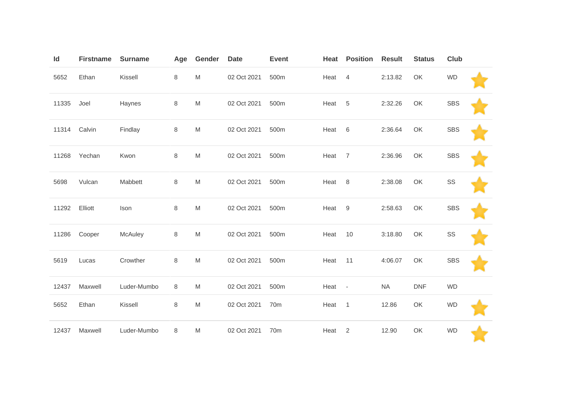| Id    | <b>Firstname</b> | <b>Surname</b> | Age | Gender | <b>Date</b> | <b>Event</b>    | Heat | <b>Position</b>          | <b>Result</b> | <b>Status</b> | <b>Club</b> |  |
|-------|------------------|----------------|-----|--------|-------------|-----------------|------|--------------------------|---------------|---------------|-------------|--|
| 5652  | Ethan            | Kissell        | 8   | M      | 02 Oct 2021 | 500m            | Heat | $\overline{4}$           | 2:13.82       | OK            | <b>WD</b>   |  |
| 11335 | Joel             | Haynes         | 8   | M      | 02 Oct 2021 | 500m            | Heat | 5                        | 2:32.26       | OK            | <b>SBS</b>  |  |
| 11314 | Calvin           | Findlay        | 8   | M      | 02 Oct 2021 | 500m            | Heat | 6                        | 2:36.64       | OK            | <b>SBS</b>  |  |
| 11268 | Yechan           | Kwon           | 8   | M      | 02 Oct 2021 | 500m            | Heat | 7                        | 2:36.96       | OK            | <b>SBS</b>  |  |
| 5698  | Vulcan           | Mabbett        | 8   | M      | 02 Oct 2021 | 500m            | Heat | 8                        | 2:38.08       | OK            | SS          |  |
| 11292 | Elliott          | Ison           | 8   | M      | 02 Oct 2021 | 500m            | Heat | 9                        | 2:58.63       | OK            | <b>SBS</b>  |  |
| 11286 | Cooper           | McAuley        | 8   | M      | 02 Oct 2021 | 500m            | Heat | 10                       | 3:18.80       | OK            | SS          |  |
| 5619  | Lucas            | Crowther       | 8   | M      | 02 Oct 2021 | 500m            | Heat | 11                       | 4:06.07       | OK            | <b>SBS</b>  |  |
| 12437 | Maxwell          | Luder-Mumbo    | 8   | M      | 02 Oct 2021 | 500m            | Heat | $\overline{\phantom{a}}$ | <b>NA</b>     | <b>DNF</b>    | <b>WD</b>   |  |
| 5652  | Ethan            | Kissell        | 8   | M      | 02 Oct 2021 | 70 <sub>m</sub> | Heat | $\overline{1}$           | 12.86         | OK            | <b>WD</b>   |  |
| 12437 | Maxwell          | Luder-Mumbo    | 8   | M      | 02 Oct 2021 | 70 <sub>m</sub> | Heat | 2                        | 12.90         | OK            | <b>WD</b>   |  |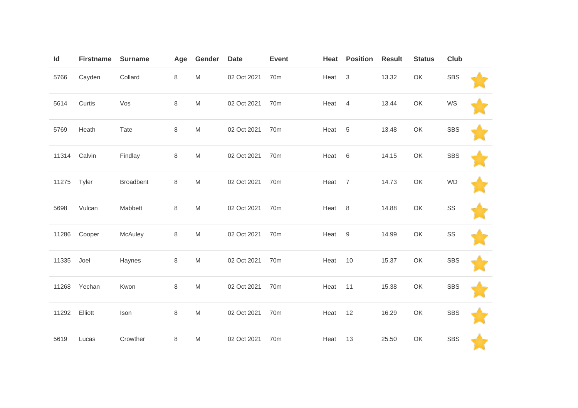| $\mathsf{Id}$ | <b>Firstname</b> | <b>Surname</b>   | Age | Gender                                                                                                     | <b>Date</b> | <b>Event</b>    | Heat   | <b>Position</b> | <b>Result</b> | <b>Status</b> | <b>Club</b> |  |
|---------------|------------------|------------------|-----|------------------------------------------------------------------------------------------------------------|-------------|-----------------|--------|-----------------|---------------|---------------|-------------|--|
| 5766          | Cayden           | Collard          | 8   | M                                                                                                          | 02 Oct 2021 | 70 <sub>m</sub> | Heat   | $\mathbf{3}$    | 13.32         | OK            | <b>SBS</b>  |  |
| 5614          | Curtis           | Vos              | 8   | ${\sf M}$                                                                                                  | 02 Oct 2021 | 70 <sub>m</sub> | Heat   | $\overline{4}$  | 13.44         | OK            | WS          |  |
| 5769          | Heath            | Tate             | 8   | M                                                                                                          | 02 Oct 2021 | 70 <sub>m</sub> | Heat   | $\sqrt{5}$      | 13.48         | OK            | <b>SBS</b>  |  |
| 11314         | Calvin           | Findlay          | 8   | M                                                                                                          | 02 Oct 2021 | 70 <sub>m</sub> | Heat   | 6               | 14.15         | OK            | <b>SBS</b>  |  |
| 11275         | Tyler            | <b>Broadbent</b> | 8   | M                                                                                                          | 02 Oct 2021 | 70m             | Heat   | $\overline{7}$  | 14.73         | OK            | <b>WD</b>   |  |
| 5698          | Vulcan           | Mabbett          | 8   | $\mathsf{M}% _{T}=\mathsf{M}_{T}\!\left( a,b\right) ,\ \mathsf{M}_{T}=\mathsf{M}_{T}$                      | 02 Oct 2021 | 70 <sub>m</sub> | Heat 8 |                 | 14.88         | OK            | SS          |  |
| 11286         | Cooper           | McAuley          | 8   | M                                                                                                          | 02 Oct 2021 | 70m             | Heat 9 |                 | 14.99         | OK            | SS          |  |
| 11335         | Joel             | Haynes           | 8   | M                                                                                                          | 02 Oct 2021 | 70m             | Heat   | 10              | 15.37         | OK            | <b>SBS</b>  |  |
| 11268         | Yechan           | Kwon             | 8   | $\mathsf{M}% _{T}=\mathsf{M}_{T}\!\left( a,b\right) ,\ \mathsf{M}_{T}=\mathsf{M}_{T}$                      | 02 Oct 2021 | 70 <sub>m</sub> | Heat   | 11              | 15.38         | OK            | <b>SBS</b>  |  |
| 11292         | Elliott          | Ison             | 8   | $\mathsf{M}% _{T}=\mathsf{M}_{T}\!\left( a,b\right) ,\ \mathsf{M}_{T}=\mathsf{M}_{T}\!\left( a,b\right) ,$ | 02 Oct 2021 | 70m             | Heat   | 12              | 16.29         | OK            | <b>SBS</b>  |  |
| 5619          | Lucas            | Crowther         | 8   | M                                                                                                          | 02 Oct 2021 | 70 <sub>m</sub> | Heat   | 13              | 25.50         | OK            | <b>SBS</b>  |  |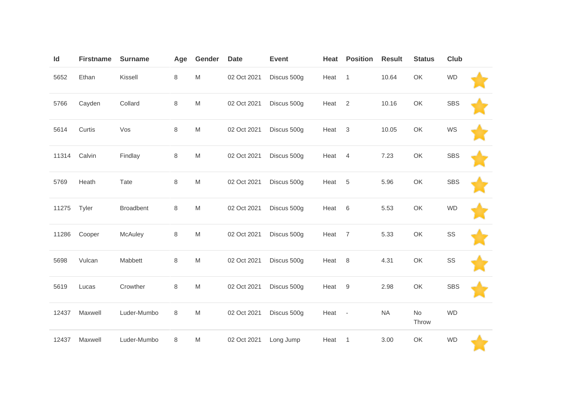| Id    | <b>Firstname</b> | <b>Surname</b>   | Age | Gender                                                                                                     | <b>Date</b> | <b>Event</b> | Heat   | <b>Position</b> | <b>Result</b> | <b>Status</b> | <b>Club</b> |  |
|-------|------------------|------------------|-----|------------------------------------------------------------------------------------------------------------|-------------|--------------|--------|-----------------|---------------|---------------|-------------|--|
| 5652  | Ethan            | Kissell          | 8   | ${\sf M}$                                                                                                  | 02 Oct 2021 | Discus 500g  | Heat   | $\mathbf{1}$    | 10.64         | OK            | <b>WD</b>   |  |
| 5766  | Cayden           | Collard          | 8   | ${\sf M}$                                                                                                  | 02 Oct 2021 | Discus 500g  | Heat   | $\overline{2}$  | 10.16         | OK            | <b>SBS</b>  |  |
| 5614  | Curtis           | Vos              | 8   | $\mathsf{M}% _{T}=\mathsf{M}_{T}\!\left( a,b\right) ,\ \mathsf{M}_{T}=\mathsf{M}_{T}$                      | 02 Oct 2021 | Discus 500g  | Heat   | 3               | 10.05         | OK            | WS          |  |
| 11314 | Calvin           | Findlay          | 8   | M                                                                                                          | 02 Oct 2021 | Discus 500g  | Heat   | $\overline{4}$  | 7.23          | OK            | <b>SBS</b>  |  |
| 5769  | Heath            | Tate             | 8   | $\mathsf{M}% _{T}=\mathsf{M}_{T}\!\left( a,b\right) ,\ \mathsf{M}_{T}=\mathsf{M}_{T}$                      | 02 Oct 2021 | Discus 500g  | Heat   | 5               | 5.96          | OK            | <b>SBS</b>  |  |
| 11275 | Tyler            | <b>Broadbent</b> | 8   | M                                                                                                          | 02 Oct 2021 | Discus 500g  | Heat   | 6               | 5.53          | OK            | <b>WD</b>   |  |
| 11286 | Cooper           | McAuley          | 8   | $\mathsf{M}% _{T}=\mathsf{M}_{T}\!\left( a,b\right) ,\ \mathsf{M}_{T}=\mathsf{M}_{T}\!\left( a,b\right) ,$ | 02 Oct 2021 | Discus 500g  | Heat   | $\overline{7}$  | 5.33          | OK            | SS          |  |
| 5698  | Vulcan           | Mabbett          | 8   | $\mathsf{M}% _{T}=\mathsf{M}_{T}\!\left( a,b\right) ,\ \mathsf{M}_{T}=\mathsf{M}_{T}\!\left( a,b\right) ,$ | 02 Oct 2021 | Discus 500g  | Heat   | 8               | 4.31          | OK            | SS          |  |
| 5619  | Lucas            | Crowther         | 8   | $\mathsf{M}% _{T}=\mathsf{M}_{T}\!\left( a,b\right) ,\ \mathsf{M}_{T}=\mathsf{M}_{T}$                      | 02 Oct 2021 | Discus 500g  | Heat   | 9               | 2.98          | OK            | <b>SBS</b>  |  |
| 12437 | Maxwell          | Luder-Mumbo      | 8   | $\mathsf{M}% _{T}=\mathsf{M}_{T}\!\left( a,b\right) ,\ \mathsf{M}_{T}=\mathsf{M}_{T}$                      | 02 Oct 2021 | Discus 500g  | Heat - |                 | <b>NA</b>     | No<br>Throw   | <b>WD</b>   |  |
| 12437 | Maxwell          | Luder-Mumbo      | 8   | $\mathsf{M}% _{T}=\mathsf{M}_{T}\!\left( a,b\right) ,\ \mathsf{M}_{T}=\mathsf{M}_{T}\!\left( a,b\right) ,$ | 02 Oct 2021 | Long Jump    | Heat   | $\mathbf{1}$    | 3.00          | OK            | <b>WD</b>   |  |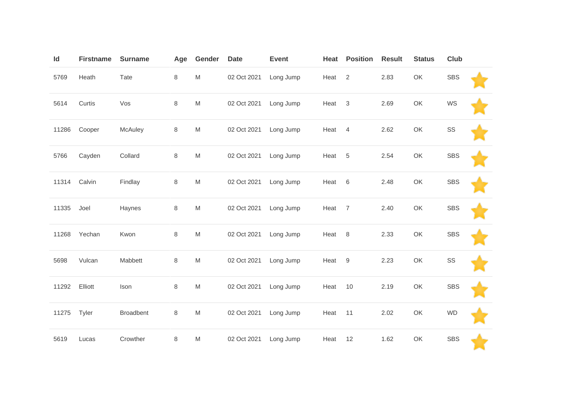| Id    | <b>Firstname</b> | <b>Surname</b>   | Age     | Gender                                                                                                     | <b>Date</b> | <b>Event</b> | Heat | <b>Position</b> | <b>Result</b> | <b>Status</b> | <b>Club</b> |  |
|-------|------------------|------------------|---------|------------------------------------------------------------------------------------------------------------|-------------|--------------|------|-----------------|---------------|---------------|-------------|--|
| 5769  | Heath            | Tate             | 8       | $\mathsf{M}% _{T}=\mathsf{M}_{T}\!\left( a,b\right) ,\ \mathsf{M}_{T}=\mathsf{M}_{T}\!\left( a,b\right) ,$ | 02 Oct 2021 | Long Jump    | Heat | $\overline{2}$  | 2.83          | OK            | <b>SBS</b>  |  |
| 5614  | Curtis           | Vos              | 8       | M                                                                                                          | 02 Oct 2021 | Long Jump    | Heat | $\mathsf 3$     | 2.69          | OK            | WS          |  |
| 11286 | Cooper           | McAuley          | $\,8\,$ | $\mathsf{M}% _{T}=\mathsf{M}_{T}\!\left( a,b\right) ,\ \mathsf{M}_{T}=\mathsf{M}_{T}\!\left( a,b\right) ,$ | 02 Oct 2021 | Long Jump    | Heat | $\overline{4}$  | 2.62          | OK            | SS          |  |
| 5766  | Cayden           | Collard          | 8       | $\mathsf{M}% _{T}=\mathsf{M}_{T}\!\left( a,b\right) ,\ \mathsf{M}_{T}=\mathsf{M}_{T}\!\left( a,b\right) ,$ | 02 Oct 2021 | Long Jump    | Heat | $\sqrt{5}$      | 2.54          | OK            | <b>SBS</b>  |  |
| 11314 | Calvin           | Findlay          | 8       | $\mathsf{M}% _{T}=\mathsf{M}_{T}\!\left( a,b\right) ,\ \mathsf{M}_{T}=\mathsf{M}_{T}\!\left( a,b\right) ,$ | 02 Oct 2021 | Long Jump    | Heat | 6               | 2.48          | OK            | <b>SBS</b>  |  |
| 11335 | Joel             | Haynes           | $\,8\,$ | $\mathsf{M}% _{T}=\mathsf{M}_{T}\!\left( a,b\right) ,\ \mathsf{M}_{T}=\mathsf{M}_{T}\!\left( a,b\right) ,$ | 02 Oct 2021 | Long Jump    | Heat | $\overline{7}$  | 2.40          | OK            | <b>SBS</b>  |  |
| 11268 | Yechan           | Kwon             | 8       | $\mathsf{M}% _{T}=\mathsf{M}_{T}\!\left( a,b\right) ,\ \mathsf{M}_{T}=\mathsf{M}_{T}\!\left( a,b\right) ,$ | 02 Oct 2021 | Long Jump    | Heat | 8               | 2.33          | OK            | <b>SBS</b>  |  |
| 5698  | Vulcan           | Mabbett          | 8       | M                                                                                                          | 02 Oct 2021 | Long Jump    | Heat | 9               | 2.23          | OK            | SS          |  |
| 11292 | Elliott          | Ison             | 8       | $\mathsf{M}% _{T}=\mathsf{M}_{T}\!\left( a,b\right) ,\ \mathsf{M}_{T}=\mathsf{M}_{T}\!\left( a,b\right) ,$ | 02 Oct 2021 | Long Jump    | Heat | 10              | 2.19          | OK            | <b>SBS</b>  |  |
| 11275 | Tyler            | <b>Broadbent</b> | 8       | $\mathsf{M}% _{T}=\mathsf{M}_{T}\!\left( a,b\right) ,\ \mathsf{M}_{T}=\mathsf{M}_{T}\!\left( a,b\right) ,$ | 02 Oct 2021 | Long Jump    | Heat | 11              | 2.02          | OK            | <b>WD</b>   |  |
| 5619  | Lucas            | Crowther         | 8       | M                                                                                                          | 02 Oct 2021 | Long Jump    | Heat | 12              | 1.62          | OK            | <b>SBS</b>  |  |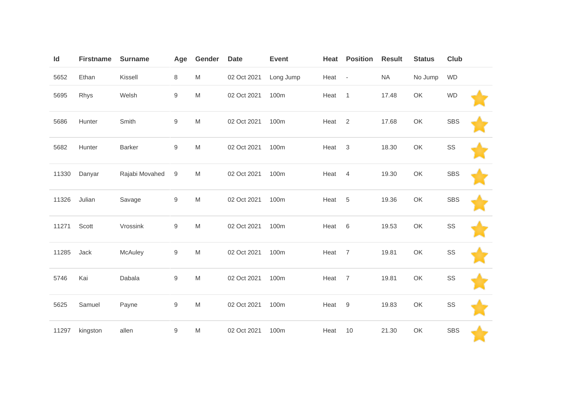| Id    | <b>Firstname</b> | <b>Surname</b> | Age              | Gender                                                                                                     | <b>Date</b> | <b>Event</b> | Heat              | <b>Position</b> | <b>Result</b> | <b>Status</b> | <b>Club</b> |  |
|-------|------------------|----------------|------------------|------------------------------------------------------------------------------------------------------------|-------------|--------------|-------------------|-----------------|---------------|---------------|-------------|--|
| 5652  | Ethan            | Kissell        | 8                | $\mathsf{M}% _{T}=\mathsf{M}_{T}\!\left( a,b\right) ,\ \mathsf{M}_{T}=\mathsf{M}_{T}\!\left( a,b\right) ,$ | 02 Oct 2021 | Long Jump    | Heat -            |                 | <b>NA</b>     | No Jump       | <b>WD</b>   |  |
| 5695  | Rhys             | Welsh          | $\boldsymbol{9}$ | $\mathsf{M}% _{T}=\mathsf{M}_{T}\!\left( a,b\right) ,\ \mathsf{M}_{T}=\mathsf{M}_{T}\!\left( a,b\right) ,$ | 02 Oct 2021 | 100m         | Heat              | $\mathbf{1}$    | 17.48         | OK            | <b>WD</b>   |  |
| 5686  | Hunter           | Smith          | 9                | $\mathsf{M}% _{T}=\mathsf{M}_{T}\!\left( a,b\right) ,\ \mathsf{M}_{T}=\mathsf{M}_{T}\!\left( a,b\right) ,$ | 02 Oct 2021 | 100m         | Heat <sub>2</sub> |                 | 17.68         | OK            | <b>SBS</b>  |  |
| 5682  | Hunter           | Barker         | $\boldsymbol{9}$ | $\mathsf{M}% _{T}=\mathsf{M}_{T}\!\left( a,b\right) ,\ \mathsf{M}_{T}=\mathsf{M}_{T}\!\left( a,b\right) ,$ | 02 Oct 2021 | 100m         | Heat              | $\mathbf{3}$    | 18.30         | OK            | SS          |  |
| 11330 | Danyar           | Rajabi Movahed | $\boldsymbol{9}$ | $\mathsf{M}% _{T}=\mathsf{M}_{T}\!\left( a,b\right) ,\ \mathsf{M}_{T}=\mathsf{M}_{T}$                      | 02 Oct 2021 | 100m         | Heat              | $\overline{4}$  | 19.30         | OK            | <b>SBS</b>  |  |
| 11326 | Julian           | Savage         | 9                | $\mathsf{M}% _{T}=\mathsf{M}_{T}\!\left( a,b\right) ,\ \mathsf{M}_{T}=\mathsf{M}_{T}\!\left( a,b\right) ,$ | 02 Oct 2021 | 100m         | Heat              | $\sqrt{5}$      | 19.36         | OK            | <b>SBS</b>  |  |
| 11271 | Scott            | Vrossink       | $\hbox{9}$       | $\mathsf{M}% _{T}=\mathsf{M}_{T}\!\left( a,b\right) ,\ \mathsf{M}_{T}=\mathsf{M}_{T}\!\left( a,b\right) ,$ | 02 Oct 2021 | 100m         | Heat              | $6\,$           | 19.53         | OK            | SS          |  |
| 11285 | Jack             | McAuley        | $\hbox{9}$       | $\mathsf{M}% _{T}=\mathsf{M}_{T}\!\left( a,b\right) ,\ \mathsf{M}_{T}=\mathsf{M}_{T}\!\left( a,b\right) ,$ | 02 Oct 2021 | 100m         | Heat              | $\overline{7}$  | 19.81         | OK            | SS          |  |
| 5746  | Kai              | Dabala         | $\mathsf g$      | $\mathsf{M}% _{T}=\mathsf{M}_{T}\!\left( a,b\right) ,\ \mathsf{M}_{T}=\mathsf{M}_{T}$                      | 02 Oct 2021 | 100m         | Heat              | $\overline{7}$  | 19.81         | OK            | SS          |  |
| 5625  | Samuel           | Payne          | $\hbox{9}$       | $\mathsf{M}% _{T}=\mathsf{M}_{T}\!\left( a,b\right) ,\ \mathsf{M}_{T}=\mathsf{M}_{T}\!\left( a,b\right) ,$ | 02 Oct 2021 | 100m         | Heat              | 9               | 19.83         | OK            | SS          |  |
| 11297 | kingston         | allen          | 9                | M                                                                                                          | 02 Oct 2021 | 100m         | Heat              | 10              | 21.30         | OK            | <b>SBS</b>  |  |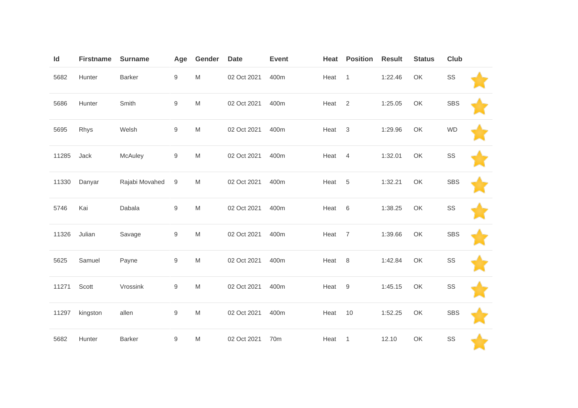| Id    | <b>Firstname</b> | <b>Surname</b> | Age              | Gender                                                                                                     | <b>Date</b> | <b>Event</b>    | Heat | <b>Position</b> | <b>Result</b> | <b>Status</b> | <b>Club</b> |  |
|-------|------------------|----------------|------------------|------------------------------------------------------------------------------------------------------------|-------------|-----------------|------|-----------------|---------------|---------------|-------------|--|
| 5682  | Hunter           | <b>Barker</b>  | 9                | M                                                                                                          | 02 Oct 2021 | 400m            | Heat | $\overline{1}$  | 1:22.46       | OK            | SS          |  |
| 5686  | Hunter           | Smith          | 9                | $\mathsf{M}% _{T}=\mathsf{M}_{T}\!\left( a,b\right) ,\ \mathsf{M}_{T}=\mathsf{M}_{T}$                      | 02 Oct 2021 | 400m            | Heat | $\overline{2}$  | 1:25.05       | OK            | <b>SBS</b>  |  |
| 5695  | Rhys             | Welsh          | 9                | $\mathsf{M}% _{T}=\mathsf{M}_{T}\!\left( a,b\right) ,\ \mathsf{M}_{T}=\mathsf{M}_{T}\!\left( a,b\right) ,$ | 02 Oct 2021 | 400m            | Heat | 3               | 1:29.96       | OK            | <b>WD</b>   |  |
| 11285 | Jack             | McAuley        | 9                | M                                                                                                          | 02 Oct 2021 | 400m            | Heat | $\overline{4}$  | 1:32.01       | OK            | SS          |  |
| 11330 | Danyar           | Rajabi Movahed | 9                | M                                                                                                          | 02 Oct 2021 | 400m            | Heat | 5               | 1:32.21       | OK            | <b>SBS</b>  |  |
| 5746  | Kai              | Dabala         | 9                | $\mathsf{M}% _{T}=\mathsf{M}_{T}\!\left( a,b\right) ,\ \mathsf{M}_{T}=\mathsf{M}_{T}$                      | 02 Oct 2021 | 400m            | Heat | 6               | 1:38.25       | OK            | SS          |  |
| 11326 | Julian           | Savage         | $\boldsymbol{9}$ | ${\sf M}$                                                                                                  | 02 Oct 2021 | 400m            | Heat | $\overline{7}$  | 1:39.66       | OK            | <b>SBS</b>  |  |
| 5625  | Samuel           | Payne          | $\hbox{9}$       | M                                                                                                          | 02 Oct 2021 | 400m            | Heat | 8               | 1:42.84       | OK            | SS          |  |
| 11271 | Scott            | Vrossink       | 9                | $\mathsf{M}% _{T}=\mathsf{M}_{T}\!\left( a,b\right) ,\ \mathsf{M}_{T}=\mathsf{M}_{T}$                      | 02 Oct 2021 | 400m            | Heat | 9               | 1:45.15       | OK            | SS          |  |
| 11297 | kingston         | allen          | 9                | $\mathsf{M}% _{T}=\mathsf{M}_{T}\!\left( a,b\right) ,\ \mathsf{M}_{T}=\mathsf{M}_{T}$                      | 02 Oct 2021 | 400m            | Heat | 10              | 1:52.25       | OK            | <b>SBS</b>  |  |
| 5682  | Hunter           | <b>Barker</b>  | 9                | M                                                                                                          | 02 Oct 2021 | 70 <sub>m</sub> | Heat | $\overline{1}$  | 12.10         | OK            | SS          |  |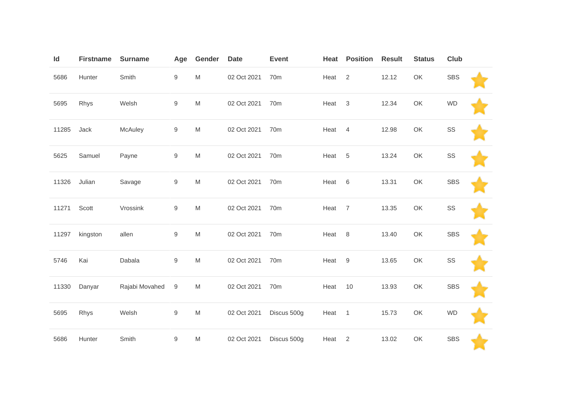| Id    | <b>Firstname</b> | <b>Surname</b> | Age        | Gender                                                                                                     | <b>Date</b> | <b>Event</b>    | Heat | <b>Position</b> | <b>Result</b> | <b>Status</b> | <b>Club</b> |  |
|-------|------------------|----------------|------------|------------------------------------------------------------------------------------------------------------|-------------|-----------------|------|-----------------|---------------|---------------|-------------|--|
| 5686  | Hunter           | Smith          | 9          | ${\sf M}$                                                                                                  | 02 Oct 2021 | 70 <sub>m</sub> | Heat | $\overline{2}$  | 12.12         | OK            | <b>SBS</b>  |  |
| 5695  | Rhys             | Welsh          | 9          | ${\sf M}$                                                                                                  | 02 Oct 2021 | 70 <sub>m</sub> | Heat | 3               | 12.34         | OK            | <b>WD</b>   |  |
| 11285 | Jack             | McAuley        | $\hbox{9}$ | $\mathsf{M}% _{T}=\mathsf{M}_{T}\!\left( a,b\right) ,\ \mathsf{M}_{T}=\mathsf{M}_{T}\!\left( a,b\right) ,$ | 02 Oct 2021 | 70 <sub>m</sub> | Heat | $\overline{4}$  | 12.98         | OK            | SS          |  |
| 5625  | Samuel           | Payne          | 9          | M                                                                                                          | 02 Oct 2021 | 70 <sub>m</sub> | Heat | $\,$ 5 $\,$     | 13.24         | OK            | SS          |  |
| 11326 | Julian           | Savage         | 9          | ${\sf M}$                                                                                                  | 02 Oct 2021 | 70m             | Heat | 6               | 13.31         | OK            | <b>SBS</b>  |  |
| 11271 | Scott            | Vrossink       | 9          | ${\sf M}$                                                                                                  | 02 Oct 2021 | 70 <sub>m</sub> | Heat | $\overline{7}$  | 13.35         | OK            | SS          |  |
| 11297 | kingston         | allen          | 9          | ${\sf M}$                                                                                                  | 02 Oct 2021 | 70 <sub>m</sub> | Heat | 8               | 13.40         | OK            | <b>SBS</b>  |  |
| 5746  | Kai              | Dabala         | 9          | M                                                                                                          | 02 Oct 2021 | 70 <sub>m</sub> | Heat | 9               | 13.65         | OK            | SS          |  |
| 11330 | Danyar           | Rajabi Movahed | $9\,$      | ${\sf M}$                                                                                                  | 02 Oct 2021 | 70 <sub>m</sub> | Heat | 10              | 13.93         | OK            | <b>SBS</b>  |  |
| 5695  | Rhys             | Welsh          | 9          | $\mathsf{M}% _{T}=\mathsf{M}_{T}\!\left( a,b\right) ,\ \mathsf{M}_{T}=\mathsf{M}_{T}$                      | 02 Oct 2021 | Discus 500g     | Heat | $\overline{1}$  | 15.73         | OK            | <b>WD</b>   |  |
| 5686  | Hunter           | Smith          | 9          | M                                                                                                          | 02 Oct 2021 | Discus 500g     | Heat | 2               | 13.02         | OK            | <b>SBS</b>  |  |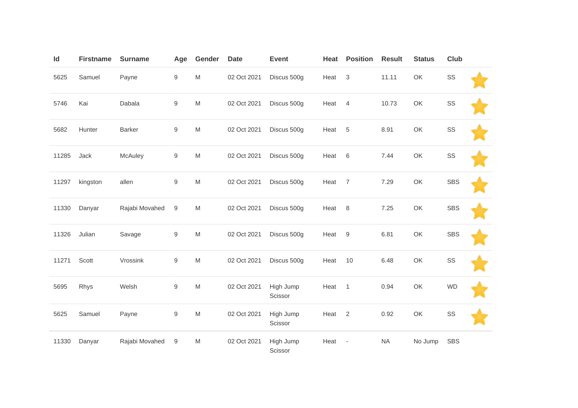| Id    | <b>Firstname</b> | <b>Surname</b> | Age              | Gender                                                                                                     | <b>Date</b> | Event                | Heat | <b>Position</b>          | <b>Result</b> | <b>Status</b> | <b>Club</b>   |  |
|-------|------------------|----------------|------------------|------------------------------------------------------------------------------------------------------------|-------------|----------------------|------|--------------------------|---------------|---------------|---------------|--|
| 5625  | Samuel           | Payne          | 9                | $\mathsf{M}% _{T}=\mathsf{M}_{T}\!\left( a,b\right) ,\ \mathsf{M}_{T}=\mathsf{M}_{T}\!\left( a,b\right) ,$ | 02 Oct 2021 | Discus 500g          | Heat | $\mathbf{3}$             | 11.11         | OK            | $\texttt{SS}$ |  |
| 5746  | Kai              | Dabala         | 9                | $\mathsf{M}% _{T}=\mathsf{M}_{T}\!\left( a,b\right) ,\ \mathsf{M}_{T}=\mathsf{M}_{T}\!\left( a,b\right) ,$ | 02 Oct 2021 | Discus 500g          | Heat | $\overline{4}$           | 10.73         | OK            | SS            |  |
| 5682  | Hunter           | Barker         | $\mathsf g$      | $\mathsf{M}% _{H}=\mathsf{M}_{H}$                                                                          | 02 Oct 2021 | Discus 500g          | Heat | $\sqrt{5}$               | 8.91          | OK            | SS            |  |
| 11285 | Jack             | McAuley        | 9                | $\mathsf{M}% _{T}=\mathsf{M}_{T}\!\left( a,b\right) ,\ \mathsf{M}_{T}=\mathsf{M}_{T}\!\left( a,b\right) ,$ | 02 Oct 2021 | Discus 500g          | Heat | $6\,$                    | 7.44          | OK            | SS            |  |
| 11297 | kingston         | allen          | $\boldsymbol{9}$ | $\mathsf{M}% _{T}=\mathsf{M}_{T}\!\left( a,b\right) ,\ \mathsf{M}_{T}=\mathsf{M}_{T}\!\left( a,b\right) ,$ | 02 Oct 2021 | Discus 500g          | Heat | $\overline{7}$           | 7.29          | OK            | <b>SBS</b>    |  |
| 11330 | Danyar           | Rajabi Movahed | 9                | $\mathsf{M}% _{T}=\mathsf{M}_{T}\!\left( a,b\right) ,\ \mathsf{M}_{T}=\mathsf{M}_{T}\!\left( a,b\right) ,$ | 02 Oct 2021 | Discus 500g          | Heat | 8                        | 7.25          | OK            | <b>SBS</b>    |  |
| 11326 | Julian           | Savage         | $\hbox{9}$       | $\mathsf{M}% _{H}=\mathsf{M}_{H}$                                                                          | 02 Oct 2021 | Discus 500g          | Heat | $9\,$                    | 6.81          | OK            | <b>SBS</b>    |  |
| 11271 | Scott            | Vrossink       | 9                | $\mathsf{M}% _{T}=\mathsf{M}_{T}\!\left( a,b\right) ,\ \mathsf{M}_{T}=\mathsf{M}_{T}\!\left( a,b\right) ,$ | 02 Oct 2021 | Discus 500g          | Heat | 10                       | 6.48          | OK            | SS            |  |
| 5695  | Rhys             | Welsh          | $\hbox{9}$       | $\mathsf{M}% _{T}=\mathsf{M}_{T}\!\left( a,b\right) ,\ \mathsf{M}_{T}=\mathsf{M}_{T}\!\left( a,b\right) ,$ | 02 Oct 2021 | High Jump<br>Scissor | Heat | $\overline{1}$           | 0.94          | OK            | <b>WD</b>     |  |
| 5625  | Samuel           | Payne          | $\hbox{9}$       | $\mathsf{M}% _{T}=\mathsf{M}_{T}\!\left( a,b\right) ,\ \mathsf{M}_{T}=\mathsf{M}_{T}\!\left( a,b\right) ,$ | 02 Oct 2021 | High Jump<br>Scissor | Heat | 2                        | 0.92          | OK            | SS            |  |
| 11330 | Danyar           | Rajabi Movahed | $\boldsymbol{9}$ | ${\sf M}$                                                                                                  | 02 Oct 2021 | High Jump<br>Scissor | Heat | $\overline{\phantom{a}}$ | NA            | No Jump       | <b>SBS</b>    |  |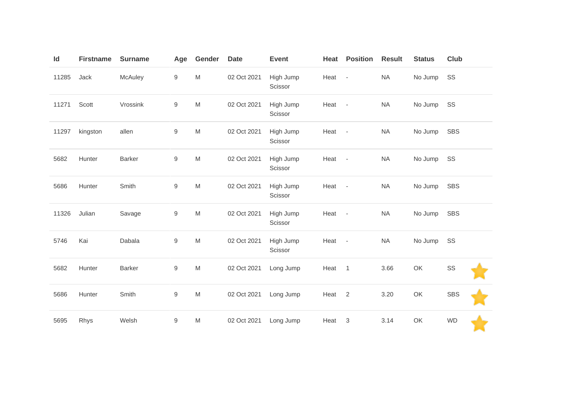| Id    | <b>Firstname</b> | <b>Surname</b> | Age              | Gender                                                                                                     | <b>Date</b> | Event                | Heat              | <b>Position</b> | <b>Result</b> | <b>Status</b> | Club       |  |
|-------|------------------|----------------|------------------|------------------------------------------------------------------------------------------------------------|-------------|----------------------|-------------------|-----------------|---------------|---------------|------------|--|
| 11285 | Jack             | McAuley        | 9                | M                                                                                                          | 02 Oct 2021 | High Jump<br>Scissor | Heat -            |                 | <b>NA</b>     | No Jump       | SS         |  |
| 11271 | Scott            | Vrossink       | $9\,$            | M                                                                                                          | 02 Oct 2021 | High Jump<br>Scissor | Heat -            |                 | <b>NA</b>     | No Jump       | SS         |  |
| 11297 | kingston         | allen          | $9\,$            | $\mathsf{M}% _{T}=\mathsf{M}_{T}\!\left( a,b\right) ,\ \mathsf{M}_{T}=\mathsf{M}_{T}\!\left( a,b\right) ,$ | 02 Oct 2021 | High Jump<br>Scissor | Heat -            |                 | <b>NA</b>     | No Jump       | <b>SBS</b> |  |
| 5682  | Hunter           | <b>Barker</b>  | $\boldsymbol{9}$ | $\mathsf{M}% _{T}=\mathsf{M}_{T}\!\left( a,b\right) ,\ \mathsf{M}_{T}=\mathsf{M}_{T}\!\left( a,b\right) ,$ | 02 Oct 2021 | High Jump<br>Scissor | Heat -            |                 | NA            | No Jump       | SS         |  |
| 5686  | Hunter           | Smith          | $\boldsymbol{9}$ | $\mathsf{M}% _{T}=\mathsf{M}_{T}\!\left( a,b\right) ,\ \mathsf{M}_{T}=\mathsf{M}_{T}\!\left( a,b\right) ,$ | 02 Oct 2021 | High Jump<br>Scissor | Heat -            |                 | NA            | No Jump       | <b>SBS</b> |  |
| 11326 | Julian           | Savage         | $9\,$            | $\mathsf{M}% _{T}=\mathsf{M}_{T}\!\left( a,b\right) ,\ \mathsf{M}_{T}=\mathsf{M}_{T}\!\left( a,b\right) ,$ | 02 Oct 2021 | High Jump<br>Scissor | Heat -            |                 | <b>NA</b>     | No Jump       | <b>SBS</b> |  |
| 5746  | Kai              | Dabala         | $\boldsymbol{9}$ | $\mathsf{M}% _{T}=\mathsf{M}_{T}\!\left( a,b\right) ,\ \mathsf{M}_{T}=\mathsf{M}_{T}\!\left( a,b\right) ,$ | 02 Oct 2021 | High Jump<br>Scissor | Heat -            |                 | <b>NA</b>     | No Jump       | SS         |  |
| 5682  | Hunter           | <b>Barker</b>  | 9                | M                                                                                                          | 02 Oct 2021 | Long Jump            | Heat 1            |                 | 3.66          | OK            | SS         |  |
| 5686  | Hunter           | Smith          | $\boldsymbol{9}$ | $\mathsf{M}% _{T}=\mathsf{M}_{T}\!\left( a,b\right) ,\ \mathsf{M}_{T}=\mathsf{M}_{T}\!\left( a,b\right) ,$ | 02 Oct 2021 | Long Jump            | Heat <sub>2</sub> |                 | 3.20          | OK            | SBS        |  |
| 5695  | Rhys             | Welsh          | $\boldsymbol{9}$ | ${\sf M}$                                                                                                  | 02 Oct 2021 | Long Jump            | Heat 3            |                 | 3.14          | OK            | <b>WD</b>  |  |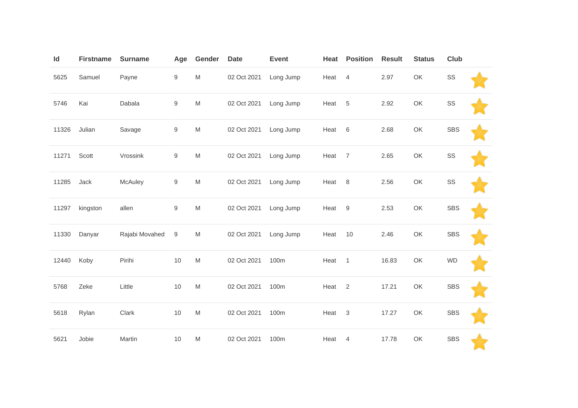| Id    | <b>Firstname</b> | <b>Surname</b> | Age              | Gender                                                                                                     | <b>Date</b> | <b>Event</b> | Heat   | <b>Position</b> | <b>Result</b> | <b>Status</b> | Club       |  |
|-------|------------------|----------------|------------------|------------------------------------------------------------------------------------------------------------|-------------|--------------|--------|-----------------|---------------|---------------|------------|--|
| 5625  | Samuel           | Payne          | 9                | $\mathsf{M}% _{T}=\mathsf{M}_{T}\!\left( a,b\right) ,\ \mathsf{M}_{T}=\mathsf{M}_{T}\!\left( a,b\right) ,$ | 02 Oct 2021 | Long Jump    | Heat   | 4               | 2.97          | OK            | SS         |  |
| 5746  | Kai              | Dabala         | $\boldsymbol{9}$ | M                                                                                                          | 02 Oct 2021 | Long Jump    | Heat   | 5               | 2.92          | OK            | SS         |  |
| 11326 | Julian           | Savage         | 9                | $\mathsf{M}% _{T}=\mathsf{M}_{T}\!\left( a,b\right) ,\ \mathsf{M}_{T}=\mathsf{M}_{T}\!\left( a,b\right) ,$ | 02 Oct 2021 | Long Jump    | Heat   | 6               | 2.68          | OK            | <b>SBS</b> |  |
| 11271 | Scott            | Vrossink       | 9                | $\mathsf{M}% _{T}=\mathsf{M}_{T}\!\left( a,b\right) ,\ \mathsf{M}_{T}=\mathsf{M}_{T}\!\left( a,b\right) ,$ | 02 Oct 2021 | Long Jump    | Heat   | $\overline{7}$  | 2.65          | OK            | SS         |  |
| 11285 | Jack             | McAuley        | $\boldsymbol{9}$ | $\mathsf{M}% _{T}=\mathsf{M}_{T}\!\left( a,b\right) ,\ \mathsf{M}_{T}=\mathsf{M}_{T}\!\left( a,b\right) ,$ | 02 Oct 2021 | Long Jump    | Heat   | 8               | 2.56          | OK            | SS         |  |
| 11297 | kingston         | allen          | 9                | $\mathsf{M}% _{T}=\mathsf{M}_{T}\!\left( a,b\right) ,\ \mathsf{M}_{T}=\mathsf{M}_{T}\!\left( a,b\right) ,$ | 02 Oct 2021 | Long Jump    | Heat   | 9               | 2.53          | OK            | <b>SBS</b> |  |
| 11330 | Danyar           | Rajabi Movahed | $\boldsymbol{9}$ | $\mathsf{M}% _{T}=\mathsf{M}_{T}\!\left( a,b\right) ,\ \mathsf{M}_{T}=\mathsf{M}_{T}\!\left( a,b\right) ,$ | 02 Oct 2021 | Long Jump    | Heat   | 10              | 2.46          | OK            | <b>SBS</b> |  |
| 12440 | Koby             | Pirihi         | $10$             | $\mathsf{M}% _{T}=\mathsf{M}_{T}\!\left( a,b\right) ,\ \mathsf{M}_{T}=\mathsf{M}_{T}\!\left( a,b\right) ,$ | 02 Oct 2021 | 100m         | Heat 1 |                 | 16.83         | OK            | <b>WD</b>  |  |
| 5768  | Zeke             | Little         | 10               | $\mathsf{M}% _{T}=\mathsf{M}_{T}\!\left( a,b\right) ,\ \mathsf{M}_{T}=\mathsf{M}_{T}\!\left( a,b\right) ,$ | 02 Oct 2021 | 100m         | Heat   | $\overline{2}$  | 17.21         | OK            | <b>SBS</b> |  |
| 5618  | Rylan            | Clark          | 10               | ${\sf M}$                                                                                                  | 02 Oct 2021 | 100m         | Heat   | $\mathsf 3$     | 17.27         | OK            | <b>SBS</b> |  |
| 5621  | Jobie            | Martin         | $10$             | M                                                                                                          | 02 Oct 2021 | 100m         | Heat   | 4               | 17.78         | OK            | <b>SBS</b> |  |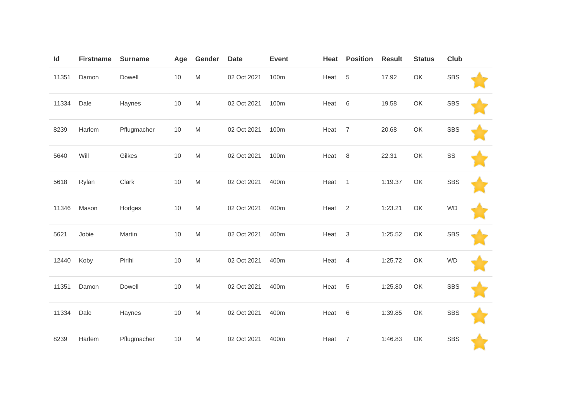| Id    | <b>Firstname</b> | <b>Surname</b> | Age  | Gender                                                                                                     | <b>Date</b> | <b>Event</b> | Heat | <b>Position</b> | <b>Result</b> | <b>Status</b> | <b>Club</b> |  |
|-------|------------------|----------------|------|------------------------------------------------------------------------------------------------------------|-------------|--------------|------|-----------------|---------------|---------------|-------------|--|
| 11351 | Damon            | Dowell         | $10$ | $\mathsf{M}% _{T}=\mathsf{M}_{T}\!\left( a,b\right) ,\ \mathsf{M}_{T}=\mathsf{M}_{T}\!\left( a,b\right) ,$ | 02 Oct 2021 | 100m         | Heat | $\,$ 5 $\,$     | 17.92         | OK            | <b>SBS</b>  |  |
| 11334 | Dale             | Haynes         | $10$ | ${\sf M}$                                                                                                  | 02 Oct 2021 | 100m         | Heat | 6               | 19.58         | OK            | <b>SBS</b>  |  |
| 8239  | Harlem           | Pflugmacher    | $10$ | M                                                                                                          | 02 Oct 2021 | 100m         | Heat | $\overline{7}$  | 20.68         | OK            | <b>SBS</b>  |  |
| 5640  | Will             | Gilkes         | 10   | ${\sf M}$                                                                                                  | 02 Oct 2021 | 100m         | Heat | $\,8\,$         | 22.31         | OK            | SS          |  |
| 5618  | Rylan            | Clark          | 10   | ${\sf M}$                                                                                                  | 02 Oct 2021 | 400m         | Heat | $\mathbf{1}$    | 1:19.37       | OK            | <b>SBS</b>  |  |
| 11346 | Mason            | Hodges         | 10   | M                                                                                                          | 02 Oct 2021 | 400m         | Heat | $\overline{2}$  | 1:23.21       | OK            | <b>WD</b>   |  |
| 5621  | Jobie            | Martin         | $10$ | $\mathsf{M}% _{T}=\mathsf{M}_{T}\!\left( a,b\right) ,\ \mathsf{M}_{T}=\mathsf{M}_{T}\!\left( a,b\right) ,$ | 02 Oct 2021 | 400m         | Heat | $\sqrt{3}$      | 1:25.52       | OK            | <b>SBS</b>  |  |
| 12440 | Koby             | Pirihi         | $10$ | ${\sf M}$                                                                                                  | 02 Oct 2021 | 400m         | Heat | $\overline{4}$  | 1:25.72       | OK            | <b>WD</b>   |  |
| 11351 | Damon            | Dowell         | $10$ | $\mathsf{M}% _{T}=\mathsf{M}_{T}\!\left( a,b\right) ,\ \mathsf{M}_{T}=\mathsf{M}_{T}\!\left( a,b\right) ,$ | 02 Oct 2021 | 400m         | Heat | $\sqrt{5}$      | 1:25.80       | OK            | <b>SBS</b>  |  |
| 11334 | Dale             | Haynes         | $10$ | $\mathsf{M}% _{T}=\mathsf{M}_{T}\!\left( a,b\right) ,\ \mathsf{M}_{T}=\mathsf{M}_{T}\!\left( a,b\right) ,$ | 02 Oct 2021 | 400m         | Heat | $\,6$           | 1:39.85       | OK            | <b>SBS</b>  |  |
| 8239  | Harlem           | Pflugmacher    | 10   | $\mathsf{M}% _{T}=\mathsf{M}_{T}\!\left( a,b\right) ,\ \mathsf{M}_{T}=\mathsf{M}_{T}\!\left( a,b\right) ,$ | 02 Oct 2021 | 400m         | Heat | $\overline{7}$  | 1:46.83       | OK            | <b>SBS</b>  |  |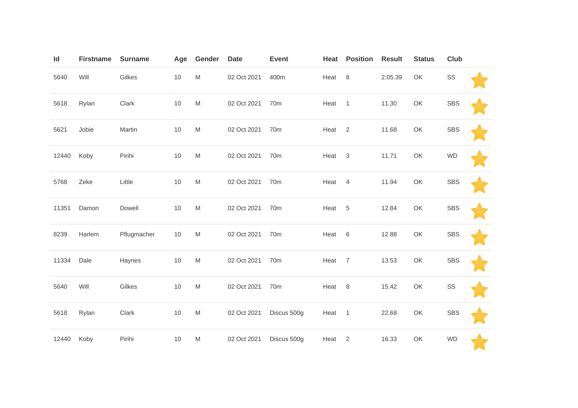| Id    | <b>Firstname</b> | <b>Surname</b> | Age  | Gender                                                                                                     | <b>Date</b> | <b>Event</b>    | Heat | <b>Position</b> | <b>Result</b> | <b>Status</b> | <b>Club</b> |  |
|-------|------------------|----------------|------|------------------------------------------------------------------------------------------------------------|-------------|-----------------|------|-----------------|---------------|---------------|-------------|--|
| 5640  | Will             | Gilkes         | $10$ | ${\sf M}$                                                                                                  | 02 Oct 2021 | 400m            | Heat | 8               | 2:05.39       | OK            | SS          |  |
| 5618  | Rylan            | Clark          | 10   | $\mathsf{M}% _{T}=\mathsf{M}_{T}\!\left( a,b\right) ,\ \mathsf{M}_{T}=\mathsf{M}_{T}$                      | 02 Oct 2021 | 70 <sub>m</sub> | Heat | $\mathbf{1}$    | 11.30         | OK            | <b>SBS</b>  |  |
| 5621  | Jobie            | Martin         | $10$ | $\mathsf{M}% _{T}=\mathsf{M}_{T}\!\left( a,b\right) ,\ \mathsf{M}_{T}=\mathsf{M}_{T}\!\left( a,b\right) ,$ | 02 Oct 2021 | 70 <sub>m</sub> | Heat | 2               | 11.68         | OK            | <b>SBS</b>  |  |
| 12440 | Koby             | Pirihi         | $10$ | $\mathsf{M}% _{T}=\mathsf{M}_{T}\!\left( a,b\right) ,\ \mathsf{M}_{T}=\mathsf{M}_{T}$                      | 02 Oct 2021 | 70m             | Heat | $\sqrt{3}$      | 11.71         | OK            | <b>WD</b>   |  |
| 5768  | Zeke             | Little         | $10$ | $\mathsf{M}% _{T}=\mathsf{M}_{T}\!\left( a,b\right) ,\ \mathsf{M}_{T}=\mathsf{M}_{T}\!\left( a,b\right) ,$ | 02 Oct 2021 | 70m             | Heat | $\overline{4}$  | 11.94         | OK            | <b>SBS</b>  |  |
| 11351 | Damon            | Dowell         | $10$ | $\mathsf{M}% _{T}=\mathsf{M}_{T}\!\left( a,b\right) ,\ \mathsf{M}_{T}=\mathsf{M}_{T}$                      | 02 Oct 2021 | 70 <sub>m</sub> | Heat | $\sqrt{5}$      | 12.84         | OK            | <b>SBS</b>  |  |
| 8239  | Harlem           | Pflugmacher    | 10   | $\mathsf{M}% _{T}=\mathsf{M}_{T}\!\left( a,b\right) ,\ \mathsf{M}_{T}=\mathsf{M}_{T}$                      | 02 Oct 2021 | 70 <sub>m</sub> | Heat | $\,6$           | 12.88         | OK            | <b>SBS</b>  |  |
| 11334 | Dale             | Haynes         | $10$ | $\mathsf{M}% _{T}=\mathsf{M}_{T}\!\left( a,b\right) ,\ \mathsf{M}_{T}=\mathsf{M}_{T}\!\left( a,b\right) ,$ | 02 Oct 2021 | 70 <sub>m</sub> | Heat | $\overline{7}$  | 13.53         | OK            | <b>SBS</b>  |  |
| 5640  | Will             | Gilkes         | $10$ | $\mathsf{M}% _{T}=\mathsf{M}_{T}\!\left( a,b\right) ,\ \mathsf{M}_{T}=\mathsf{M}_{T}\!\left( a,b\right) ,$ | 02 Oct 2021 | 70 <sub>m</sub> | Heat | 8               | 15.42         | OK            | SS          |  |
| 5618  | Rylan            | Clark          | $10$ | ${\sf M}$                                                                                                  | 02 Oct 2021 | Discus 500g     | Heat | $\overline{1}$  | 22.68         | OK            | <b>SBS</b>  |  |
| 12440 | Koby             | Pirihi         | $10$ | M                                                                                                          | 02 Oct 2021 | Discus 500g     | Heat | $\overline{2}$  | 16.33         | OK            | <b>WD</b>   |  |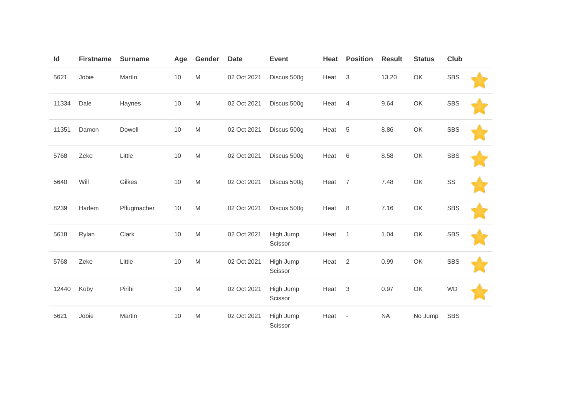| Id    | <b>Firstname</b> | <b>Surname</b> | Age  | Gender                                                                                                     | <b>Date</b> | <b>Event</b>         | Heat | <b>Position</b>          | <b>Result</b> | <b>Status</b> | <b>Club</b> |  |
|-------|------------------|----------------|------|------------------------------------------------------------------------------------------------------------|-------------|----------------------|------|--------------------------|---------------|---------------|-------------|--|
| 5621  | Jobie            | Martin         | $10$ | $\mathsf{M}% _{T}=\mathsf{M}_{T}\!\left( a,b\right) ,\ \mathsf{M}_{T}=\mathsf{M}_{T}$                      | 02 Oct 2021 | Discus 500g          | Heat | $\mathbf{3}$             | 13.20         | OK            | <b>SBS</b>  |  |
| 11334 | Dale             | Haynes         | 10   | $\mathsf{M}% _{T}=\mathsf{M}_{T}\!\left( a,b\right) ,\ \mathsf{M}_{T}=\mathsf{M}_{T}$                      | 02 Oct 2021 | Discus 500g          | Heat | $\overline{4}$           | 9.64          | OK            | <b>SBS</b>  |  |
| 11351 | Damon            | Dowell         | 10   | $\mathsf{M}% _{T}=\mathsf{M}_{T}\!\left( a,b\right) ,\ \mathsf{M}_{T}=\mathsf{M}_{T}\!\left( a,b\right) ,$ | 02 Oct 2021 | Discus 500g          | Heat | $\sqrt{5}$               | 8.86          | OK            | <b>SBS</b>  |  |
| 5768  | Zeke             | Little         | 10   | ${\sf M}$                                                                                                  | 02 Oct 2021 | Discus 500g          | Heat | 6                        | 8.58          | OK            | <b>SBS</b>  |  |
| 5640  | Will             | Gilkes         | 10   | $\mathsf{M}% _{T}=\mathsf{M}_{T}\!\left( a,b\right) ,\ \mathsf{M}_{T}=\mathsf{M}_{T}$                      | 02 Oct 2021 | Discus 500g          | Heat | $\overline{7}$           | 7.48          | OK            | SS          |  |
| 8239  | Harlem           | Pflugmacher    | $10$ | M                                                                                                          | 02 Oct 2021 | Discus 500g          | Heat | 8                        | 7.16          | OK            | <b>SBS</b>  |  |
| 5618  | Rylan            | Clark          | $10$ | $\mathsf{M}% _{T}=\mathsf{M}_{T}\!\left( a,b\right) ,\ \mathsf{M}_{T}=\mathsf{M}_{T}\!\left( a,b\right) ,$ | 02 Oct 2021 | High Jump<br>Scissor | Heat | $\overline{1}$           | 1.04          | OK            | <b>SBS</b>  |  |
| 5768  | Zeke             | Little         | 10   | $\mathsf{M}% _{T}=\mathsf{M}_{T}\!\left( a,b\right) ,\ \mathsf{M}_{T}=\mathsf{M}_{T}$                      | 02 Oct 2021 | High Jump<br>Scissor | Heat | $\overline{2}$           | 0.99          | OK            | <b>SBS</b>  |  |
| 12440 | Koby             | Pirihi         | 10   | M                                                                                                          | 02 Oct 2021 | High Jump<br>Scissor | Heat | 3                        | 0.97          | OK            | <b>WD</b>   |  |
| 5621  | Jobie            | Martin         | 10   | $\mathsf{M}% _{T}=\mathsf{M}_{T}\!\left( a,b\right) ,\ \mathsf{M}_{T}=\mathsf{M}_{T}$                      | 02 Oct 2021 | High Jump<br>Scissor | Heat | $\overline{\phantom{a}}$ | <b>NA</b>     | No Jump       | <b>SBS</b>  |  |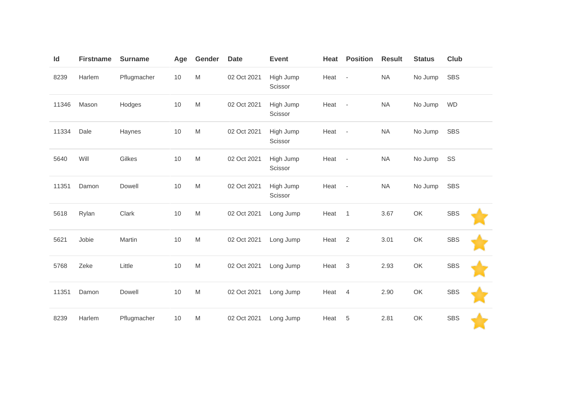| Id    | <b>Firstname</b> | <b>Surname</b> | Age  | Gender                                                                                                     | <b>Date</b> | <b>Event</b>         | Heat   | <b>Position</b>          | <b>Result</b> | <b>Status</b> | Club       |  |
|-------|------------------|----------------|------|------------------------------------------------------------------------------------------------------------|-------------|----------------------|--------|--------------------------|---------------|---------------|------------|--|
| 8239  | Harlem           | Pflugmacher    | $10$ | $\mathsf{M}% _{T}=\mathsf{M}_{T}\!\left( a,b\right) ,\ \mathsf{M}_{T}=\mathsf{M}_{T}\!\left( a,b\right) ,$ | 02 Oct 2021 | High Jump<br>Scissor | Heat   | $\overline{\phantom{a}}$ | <b>NA</b>     | No Jump       | <b>SBS</b> |  |
| 11346 | Mason            | Hodges         | 10   | $\mathsf{M}% _{T}=\mathsf{M}_{T}\!\left( a,b\right) ,\ \mathsf{M}_{T}=\mathsf{M}_{T}\!\left( a,b\right) ,$ | 02 Oct 2021 | High Jump<br>Scissor | Heat   | $\overline{\phantom{a}}$ | <b>NA</b>     | No Jump       | <b>WD</b>  |  |
| 11334 | Dale             | Haynes         | 10   | $\mathsf{M}% _{T}=\mathsf{M}_{T}\!\left( a,b\right) ,\ \mathsf{M}_{T}=\mathsf{M}_{T}\!\left( a,b\right) ,$ | 02 Oct 2021 | High Jump<br>Scissor | Heat - |                          | <b>NA</b>     | No Jump       | <b>SBS</b> |  |
| 5640  | Will             | Gilkes         | 10   | $\mathsf{M}% _{T}=\mathsf{M}_{T}\!\left( a,b\right) ,\ \mathsf{M}_{T}=\mathsf{M}_{T}\!\left( a,b\right) ,$ | 02 Oct 2021 | High Jump<br>Scissor | Heat   | $\sim$                   | <b>NA</b>     | No Jump       | SS         |  |
| 11351 | Damon            | Dowell         | 10   | $\mathsf{M}% _{T}=\mathsf{M}_{T}\!\left( a,b\right) ,\ \mathsf{M}_{T}=\mathsf{M}_{T}\!\left( a,b\right) ,$ | 02 Oct 2021 | High Jump<br>Scissor | Heat - |                          | <b>NA</b>     | No Jump       | <b>SBS</b> |  |
| 5618  | Rylan            | Clark          | 10   | $\mathsf{M}% _{T}=\mathsf{M}_{T}\!\left( a,b\right) ,\ \mathsf{M}_{T}=\mathsf{M}_{T}\!\left( a,b\right) ,$ | 02 Oct 2021 | Long Jump            | Heat   | $\overline{1}$           | 3.67          | OK            | <b>SBS</b> |  |
| 5621  | Jobie            | Martin         | 10   | $\mathsf{M}% _{T}=\mathsf{M}_{T}\!\left( a,b\right) ,\ \mathsf{M}_{T}=\mathsf{M}_{T}\!\left( a,b\right) ,$ | 02 Oct 2021 | Long Jump            | Heat   | 2                        | 3.01          | OK            | <b>SBS</b> |  |
| 5768  | Zeke             | Little         | 10   | $\mathsf{M}% _{T}=\mathsf{M}_{T}\!\left( a,b\right) ,\ \mathsf{M}_{T}=\mathsf{M}_{T}\!\left( a,b\right) ,$ | 02 Oct 2021 | Long Jump            | Heat   | 3                        | 2.93          | OK            | <b>SBS</b> |  |
| 11351 | Damon            | Dowell         | 10   | $\mathsf{M}% _{T}=\mathsf{M}_{T}\!\left( a,b\right) ,\ \mathsf{M}_{T}=\mathsf{M}_{T}\!\left( a,b\right) ,$ | 02 Oct 2021 | Long Jump            | Heat   | $\overline{4}$           | 2.90          | OK            | <b>SBS</b> |  |
| 8239  | Harlem           | Pflugmacher    | $10$ | $\mathsf{M}% _{T}=\mathsf{M}_{T}\!\left( a,b\right) ,\ \mathsf{M}_{T}=\mathsf{M}_{T}\!\left( a,b\right) ,$ | 02 Oct 2021 | Long Jump            | Heat   | 5                        | 2.81          | OK            | <b>SBS</b> |  |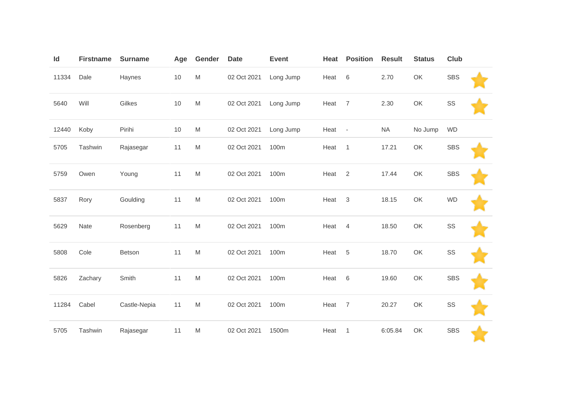| Id    | <b>Firstname</b> | <b>Surname</b> | Age  | Gender                                                                                                     | <b>Date</b> | <b>Event</b> | Heat | <b>Position</b>          | <b>Result</b> | <b>Status</b> | <b>Club</b> |  |
|-------|------------------|----------------|------|------------------------------------------------------------------------------------------------------------|-------------|--------------|------|--------------------------|---------------|---------------|-------------|--|
| 11334 | Dale             | Haynes         | $10$ | $\mathsf{M}% _{T}=\mathsf{M}_{T}\!\left( a,b\right) ,\ \mathsf{M}_{T}=\mathsf{M}_{T}\!\left( a,b\right) ,$ | 02 Oct 2021 | Long Jump    | Heat | $6\,$                    | 2.70          | OK            | <b>SBS</b>  |  |
| 5640  | Will             | Gilkes         | 10   | ${\sf M}$                                                                                                  | 02 Oct 2021 | Long Jump    | Heat | $\overline{7}$           | 2.30          | OK            | SS          |  |
| 12440 | Koby             | Pirihi         | 10   | ${\sf M}$                                                                                                  | 02 Oct 2021 | Long Jump    | Heat | $\overline{\phantom{a}}$ | <b>NA</b>     | No Jump       | <b>WD</b>   |  |
| 5705  | Tashwin          | Rajasegar      | 11   | M                                                                                                          | 02 Oct 2021 | 100m         | Heat | $\mathbf{1}$             | 17.21         | OK            | <b>SBS</b>  |  |
| 5759  | Owen             | Young          | 11   | $\mathsf{M}% _{T}=\mathsf{M}_{T}\!\left( a,b\right) ,\ \mathsf{M}_{T}=\mathsf{M}_{T}\!\left( a,b\right) ,$ | 02 Oct 2021 | 100m         | Heat | $\overline{2}$           | 17.44         | OK            | <b>SBS</b>  |  |
| 5837  | Rory             | Goulding       | 11   | ${\sf M}$                                                                                                  | 02 Oct 2021 | 100m         | Heat | $\mathsf 3$              | 18.15         | OK            | <b>WD</b>   |  |
| 5629  | Nate             | Rosenberg      | 11   | ${\sf M}$                                                                                                  | 02 Oct 2021 | 100m         | Heat | $\overline{4}$           | 18.50         | OK            | SS          |  |
| 5808  | Cole             | Betson         | 11   | ${\sf M}$                                                                                                  | 02 Oct 2021 | 100m         | Heat | $\overline{5}$           | 18.70         | OK            | SS          |  |
| 5826  | Zachary          | Smith          | 11   | ${\sf M}$                                                                                                  | 02 Oct 2021 | 100m         | Heat | 6                        | 19.60         | OK            | <b>SBS</b>  |  |
| 11284 | Cabel            | Castle-Nepia   | 11   | ${\sf M}$                                                                                                  | 02 Oct 2021 | 100m         | Heat | $\overline{7}$           | 20.27         | OK            | SS          |  |
| 5705  | Tashwin          | Rajasegar      | 11   | M                                                                                                          | 02 Oct 2021 | 1500m        | Heat | 1                        | 6:05.84       | OK            | <b>SBS</b>  |  |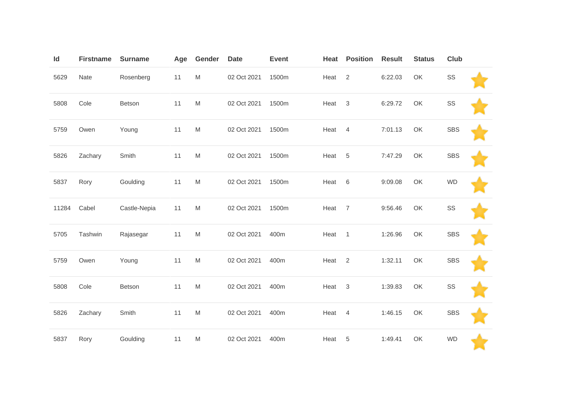| Id    | <b>Firstname</b> | <b>Surname</b> | Age | Gender                                                                                                     | <b>Date</b> | <b>Event</b> | Heat | <b>Position</b> | <b>Result</b> | <b>Status</b> | Club       |  |
|-------|------------------|----------------|-----|------------------------------------------------------------------------------------------------------------|-------------|--------------|------|-----------------|---------------|---------------|------------|--|
| 5629  | Nate             | Rosenberg      | 11  | $\mathsf{M}% _{T}=\mathsf{M}_{T}\!\left( a,b\right) ,\ \mathsf{M}_{T}=\mathsf{M}_{T}\!\left( a,b\right) ,$ | 02 Oct 2021 | 1500m        | Heat | 2               | 6:22.03       | OK            | SS         |  |
| 5808  | Cole             | Betson         | 11  | $\mathsf{M}% _{T}=\mathsf{M}_{T}\!\left( a,b\right) ,\ \mathsf{M}_{T}=\mathsf{M}_{T}\!\left( a,b\right) ,$ | 02 Oct 2021 | 1500m        | Heat | 3               | 6:29.72       | OK            | SS         |  |
| 5759  | Owen             | Young          | 11  | $\mathsf{M}% _{T}=\mathsf{M}_{T}\!\left( a,b\right) ,\ \mathsf{M}_{T}=\mathsf{M}_{T}\!\left( a,b\right) ,$ | 02 Oct 2021 | 1500m        | Heat | $\overline{4}$  | 7:01.13       | OK            | <b>SBS</b> |  |
| 5826  | Zachary          | Smith          | 11  | $\mathsf{M}% _{T}=\mathsf{M}_{T}\!\left( a,b\right) ,\ \mathsf{M}_{T}=\mathsf{M}_{T}\!\left( a,b\right) ,$ | 02 Oct 2021 | 1500m        | Heat | $\,$ 5 $\,$     | 7:47.29       | OK            | <b>SBS</b> |  |
| 5837  | Rory             | Goulding       | 11  | $\mathsf{M}% _{T}=\mathsf{M}_{T}\!\left( a,b\right) ,\ \mathsf{M}_{T}=\mathsf{M}_{T}\!\left( a,b\right) ,$ | 02 Oct 2021 | 1500m        | Heat | 6               | 9:09.08       | OK            | <b>WD</b>  |  |
| 11284 | Cabel            | Castle-Nepia   | 11  | $\mathsf{M}% _{T}=\mathsf{M}_{T}\!\left( a,b\right) ,\ \mathsf{M}_{T}=\mathsf{M}_{T}\!\left( a,b\right) ,$ | 02 Oct 2021 | 1500m        | Heat | $\overline{7}$  | 9:56.46       | OK            | SS         |  |
| 5705  | Tashwin          | Rajasegar      | 11  | $\mathsf{M}% _{T}=\mathsf{M}_{T}\!\left( a,b\right) ,\ \mathsf{M}_{T}=\mathsf{M}_{T}\!\left( a,b\right) ,$ | 02 Oct 2021 | 400m         | Heat | $\overline{1}$  | 1:26.96       | OK            | <b>SBS</b> |  |
| 5759  | Owen             | Young          | 11  | $\mathsf{M}% _{T}=\mathsf{M}_{T}\!\left( a,b\right) ,\ \mathsf{M}_{T}=\mathsf{M}_{T}\!\left( a,b\right) ,$ | 02 Oct 2021 | 400m         | Heat | $\overline{2}$  | 1:32.11       | OK            | <b>SBS</b> |  |
| 5808  | Cole             | Betson         | 11  | $\mathsf{M}% _{T}=\mathsf{M}_{T}\!\left( a,b\right) ,\ \mathsf{M}_{T}=\mathsf{M}_{T}\!\left( a,b\right) ,$ | 02 Oct 2021 | 400m         | Heat | $\mathbf{3}$    | 1:39.83       | OK            | SS         |  |
| 5826  | Zachary          | Smith          | 11  | ${\sf M}$                                                                                                  | 02 Oct 2021 | 400m         | Heat | 4               | 1:46.15       | OK            | <b>SBS</b> |  |
| 5837  | Rory             | Goulding       | 11  | M                                                                                                          | 02 Oct 2021 | 400m         | Heat | $\,$ 5 $\,$     | 1:49.41       | OK            | <b>WD</b>  |  |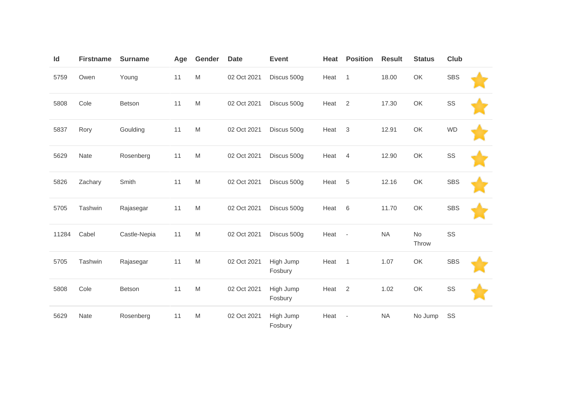| Id    | <b>Firstname</b> | <b>Surname</b> | Age | Gender                                                                                                     | <b>Date</b> | <b>Event</b>         | Heat | <b>Position</b>          | <b>Result</b> | <b>Status</b>      | <b>Club</b> |  |
|-------|------------------|----------------|-----|------------------------------------------------------------------------------------------------------------|-------------|----------------------|------|--------------------------|---------------|--------------------|-------------|--|
| 5759  | Owen             | Young          | 11  | M                                                                                                          | 02 Oct 2021 | Discus 500g          | Heat | $\mathbf{1}$             | 18.00         | OK                 | <b>SBS</b>  |  |
| 5808  | Cole             | Betson         | 11  | M                                                                                                          | 02 Oct 2021 | Discus 500g          | Heat | $\overline{2}$           | 17.30         | OK                 | SS          |  |
| 5837  | Rory             | Goulding       | 11  | M                                                                                                          | 02 Oct 2021 | Discus 500g          | Heat | $\mathfrak{Z}$           | 12.91         | OK                 | <b>WD</b>   |  |
| 5629  | Nate             | Rosenberg      | 11  | $\mathsf{M}% _{T}=\mathsf{M}_{T}\!\left( a,b\right) ,\ \mathsf{M}_{T}=\mathsf{M}_{T}\!\left( a,b\right) ,$ | 02 Oct 2021 | Discus 500g          | Heat | $\overline{4}$           | 12.90         | OK                 | SS          |  |
| 5826  | Zachary          | Smith          | 11  | $\mathsf{M}% _{T}=\mathsf{M}_{T}\!\left( a,b\right) ,\ \mathsf{M}_{T}=\mathsf{M}_{T}\!\left( a,b\right) ,$ | 02 Oct 2021 | Discus 500g          | Heat | $\sqrt{5}$               | 12.16         | OK                 | <b>SBS</b>  |  |
| 5705  | Tashwin          | Rajasegar      | 11  | $\mathsf{M}% _{T}=\mathsf{M}_{T}\!\left( a,b\right) ,\ \mathsf{M}_{T}=\mathsf{M}_{T}\!\left( a,b\right) ,$ | 02 Oct 2021 | Discus 500g          | Heat | 6                        | 11.70         | OK                 | <b>SBS</b>  |  |
| 11284 | Cabel            | Castle-Nepia   | 11  | $\mathsf{M}% _{T}=\mathsf{M}_{T}\!\left( a,b\right) ,\ \mathsf{M}_{T}=\mathsf{M}_{T}\!\left( a,b\right) ,$ | 02 Oct 2021 | Discus 500g          | Heat | $\overline{\phantom{a}}$ | <b>NA</b>     | <b>No</b><br>Throw | SS          |  |
| 5705  | Tashwin          | Rajasegar      | 11  | $\mathsf{M}% _{T}=\mathsf{M}_{T}\!\left( a,b\right) ,\ \mathsf{M}_{T}=\mathsf{M}_{T}\!\left( a,b\right) ,$ | 02 Oct 2021 | High Jump<br>Fosbury | Heat | $\mathbf{1}$             | 1.07          | OK                 | <b>SBS</b>  |  |
| 5808  | Cole             | Betson         | 11  | $\mathsf{M}% _{T}=\mathsf{M}_{T}\!\left( a,b\right) ,\ \mathsf{M}_{T}=\mathsf{M}_{T}\!\left( a,b\right) ,$ | 02 Oct 2021 | High Jump<br>Fosbury | Heat | $\overline{2}$           | 1.02          | OK                 | SS          |  |
| 5629  | Nate             | Rosenberg      | 11  | M                                                                                                          | 02 Oct 2021 | High Jump<br>Fosbury | Heat | $\overline{\phantom{a}}$ | <b>NA</b>     | No Jump            | SS          |  |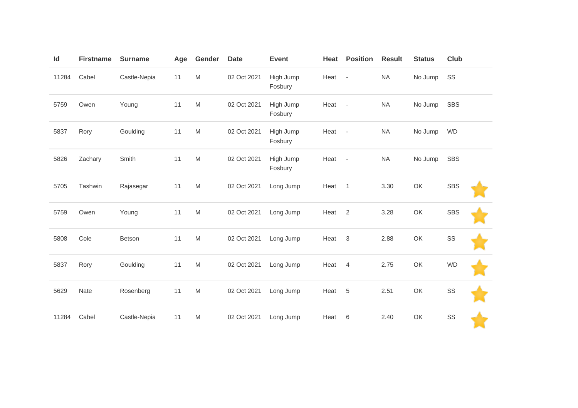| Id    | <b>Firstname</b> | <b>Surname</b> | Age | Gender                                                                                                     | <b>Date</b> | <b>Event</b>         | Heat | <b>Position</b> | <b>Result</b> | <b>Status</b> | Club       |  |
|-------|------------------|----------------|-----|------------------------------------------------------------------------------------------------------------|-------------|----------------------|------|-----------------|---------------|---------------|------------|--|
| 11284 | Cabel            | Castle-Nepia   | 11  | $\mathsf{M}% _{T}=\mathsf{M}_{T}\!\left( a,b\right) ,\ \mathsf{M}_{T}=\mathsf{M}_{T}\!\left( a,b\right) ,$ | 02 Oct 2021 | High Jump<br>Fosbury | Heat | $\sim$          | <b>NA</b>     | No Jump       | SS         |  |
| 5759  | Owen             | Young          | 11  | $\mathsf{M}% _{T}=\mathsf{M}_{T}\!\left( a,b\right) ,\ \mathsf{M}_{T}=\mathsf{M}_{T}\!\left( a,b\right) ,$ | 02 Oct 2021 | High Jump<br>Fosbury | Heat | $\sim$          | <b>NA</b>     | No Jump       | <b>SBS</b> |  |
| 5837  | Rory             | Goulding       | 11  | $\mathsf{M}% _{T}=\mathsf{M}_{T}\!\left( a,b\right) ,\ \mathsf{M}_{T}=\mathsf{M}_{T}\!\left( a,b\right) ,$ | 02 Oct 2021 | High Jump<br>Fosbury | Heat | $\sim$          | <b>NA</b>     | No Jump       | <b>WD</b>  |  |
| 5826  | Zachary          | Smith          | 11  | $\mathsf{M}% _{T}=\mathsf{M}_{T}\!\left( a,b\right) ,\ \mathsf{M}_{T}=\mathsf{M}_{T}\!\left( a,b\right) ,$ | 02 Oct 2021 | High Jump<br>Fosbury | Heat | $\sim$          | <b>NA</b>     | No Jump       | <b>SBS</b> |  |
| 5705  | Tashwin          | Rajasegar      | 11  | M                                                                                                          | 02 Oct 2021 | Long Jump            | Heat | $\overline{1}$  | 3.30          | OK            | <b>SBS</b> |  |
| 5759  | Owen             | Young          | 11  | M                                                                                                          | 02 Oct 2021 | Long Jump            | Heat | 2               | 3.28          | OK            | <b>SBS</b> |  |
| 5808  | Cole             | Betson         | 11  | M                                                                                                          | 02 Oct 2021 | Long Jump            | Heat | 3               | 2.88          | OK            | SS         |  |
| 5837  | Rory             | Goulding       | 11  | $\mathsf{M}% _{T}=\mathsf{M}_{T}\!\left( a,b\right) ,\ \mathsf{M}_{T}=\mathsf{M}_{T}\!\left( a,b\right) ,$ | 02 Oct 2021 | Long Jump            | Heat | $\overline{4}$  | 2.75          | OK            | <b>WD</b>  |  |
| 5629  | Nate             | Rosenberg      | 11  | ${\sf M}$                                                                                                  | 02 Oct 2021 | Long Jump            | Heat | $\overline{5}$  | 2.51          | OK            | SS         |  |
| 11284 | Cabel            | Castle-Nepia   | 11  | $\mathsf{M}% _{T}=\mathsf{M}_{T}\!\left( a,b\right) ,\ \mathsf{M}_{T}=\mathsf{M}_{T}\!\left( a,b\right) ,$ | 02 Oct 2021 | Long Jump            | Heat | 6               | 2.40          | OK            | SS         |  |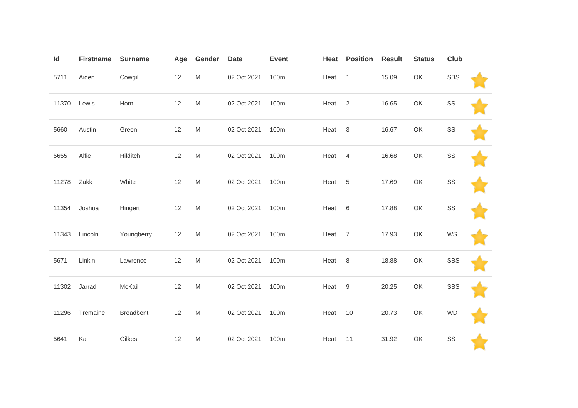| Id    | <b>Firstname</b> | <b>Surname</b>   | Age | Gender                                                                                                     | <b>Date</b> | <b>Event</b> | Heat              | <b>Position</b> | <b>Result</b> | <b>Status</b> | <b>Club</b> |  |
|-------|------------------|------------------|-----|------------------------------------------------------------------------------------------------------------|-------------|--------------|-------------------|-----------------|---------------|---------------|-------------|--|
| 5711  | Aiden            | Cowgill          | 12  | $\mathsf{M}% _{T}=\mathsf{M}_{T}\!\left( a,b\right) ,\ \mathsf{M}_{T}=\mathsf{M}_{T}\!\left( a,b\right) ,$ | 02 Oct 2021 | 100m         | Heat 1            |                 | 15.09         | OK            | <b>SBS</b>  |  |
| 11370 | Lewis            | Horn             | 12  | $\mathsf{M}% _{T}=\mathsf{M}_{T}\!\left( a,b\right) ,\ \mathsf{M}_{T}=\mathsf{M}_{T}$                      | 02 Oct 2021 | 100m         | Heat              | 2               | 16.65         | OK            | SS          |  |
| 5660  | Austin           | Green            | 12  | $\mathsf{M}% _{T}=\mathsf{M}_{T}\!\left( a,b\right) ,\ \mathsf{M}_{T}=\mathsf{M}_{T}$                      | 02 Oct 2021 | 100m         | Heat              | $\mathbf{3}$    | 16.67         | OK            | SS          |  |
| 5655  | Alfie            | Hilditch         | 12  | M                                                                                                          | 02 Oct 2021 | 100m         | Heat              | $\overline{4}$  | 16.68         | OK            | SS          |  |
| 11278 | Zakk             | White            | 12  | $\mathsf{M}% _{T}=\mathsf{M}_{T}\!\left( a,b\right) ,\ \mathsf{M}_{T}=\mathsf{M}_{T}\!\left( a,b\right) ,$ | 02 Oct 2021 | 100m         | Heat <sub>5</sub> |                 | 17.69         | OK            | SS          |  |
| 11354 | Joshua           | Hingert          | 12  | $\mathsf{M}% _{T}=\mathsf{M}_{T}\!\left( a,b\right) ,\ \mathsf{M}_{T}=\mathsf{M}_{T}$                      | 02 Oct 2021 | 100m         | Heat              | 6               | 17.88         | OK            | SS          |  |
| 11343 | Lincoln          | Youngberry       | 12  | $\mathsf{M}% _{T}=\mathsf{M}_{T}\!\left( a,b\right) ,\ \mathsf{M}_{T}=\mathsf{M}_{T}\!\left( a,b\right) ,$ | 02 Oct 2021 | 100m         | Heat              | $\overline{7}$  | 17.93         | OK            | WS          |  |
| 5671  | Linkin           | Lawrence         | 12  | $\mathsf{M}% _{T}=\mathsf{M}_{T}\!\left( a,b\right) ,\ \mathsf{M}_{T}=\mathsf{M}_{T}\!\left( a,b\right) ,$ | 02 Oct 2021 | 100m         | Heat              | 8               | 18.88         | OK            | <b>SBS</b>  |  |
| 11302 | Jarrad           | McKail           | 12  | $\mathsf{M}% _{T}=\mathsf{M}_{T}\!\left( a,b\right) ,\ \mathsf{M}_{T}=\mathsf{M}_{T}$                      | 02 Oct 2021 | 100m         | Heat              | $9\,$           | 20.25         | OK            | <b>SBS</b>  |  |
| 11296 | Tremaine         | <b>Broadbent</b> | 12  | $\mathsf{M}% _{T}=\mathsf{M}_{T}\!\left( a,b\right) ,\ \mathsf{M}_{T}=\mathsf{M}_{T}\!\left( a,b\right) ,$ | 02 Oct 2021 | 100m         | Heat              | 10              | 20.73         | OK            | <b>WD</b>   |  |
| 5641  | Kai              | Gilkes           | 12  | M                                                                                                          | 02 Oct 2021 | 100m         | Heat              | 11              | 31.92         | OK            | SS          |  |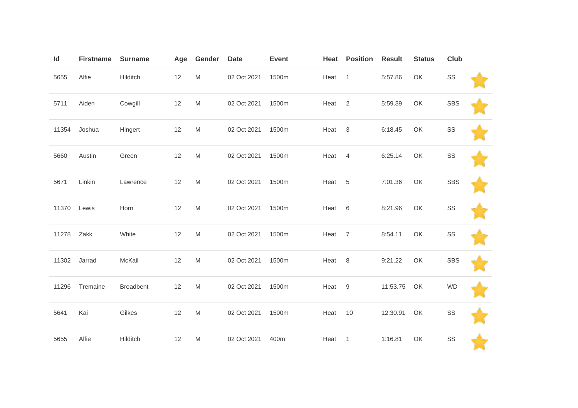| Id    | <b>Firstname</b> | <b>Surname</b>   | Age  | Gender                                                                                                     | <b>Date</b> | <b>Event</b> | Heat | <b>Position</b>  | <b>Result</b> | <b>Status</b> | Club       |  |
|-------|------------------|------------------|------|------------------------------------------------------------------------------------------------------------|-------------|--------------|------|------------------|---------------|---------------|------------|--|
| 5655  | Alfie            | Hilditch         | 12   | M                                                                                                          | 02 Oct 2021 | 1500m        | Heat | $\overline{1}$   | 5:57.86       | OK            | SS         |  |
| 5711  | Aiden            | Cowgill          | 12   | $\mathsf{M}% _{T}=\mathsf{M}_{T}\!\left( a,b\right) ,\ \mathsf{M}_{T}=\mathsf{M}_{T}\!\left( a,b\right) ,$ | 02 Oct 2021 | 1500m        | Heat | 2                | 5:59.39       | OK            | <b>SBS</b> |  |
| 11354 | Joshua           | Hingert          | 12   | $\mathsf{M}% _{T}=\mathsf{M}_{T}\!\left( a,b\right) ,\ \mathsf{M}_{T}=\mathsf{M}_{T}\!\left( a,b\right) ,$ | 02 Oct 2021 | 1500m        | Heat | $\mathbf{3}$     | 6:18.45       | OK            | SS         |  |
| 5660  | Austin           | Green            | 12   | M                                                                                                          | 02 Oct 2021 | 1500m        | Heat | 4                | 6:25.14       | OK            | SS         |  |
| 5671  | Linkin           | Lawrence         | 12   | $\mathsf{M}% _{T}=\mathsf{M}_{T}\!\left( a,b\right) ,\ \mathsf{M}_{T}=\mathsf{M}_{T}\!\left( a,b\right) ,$ | 02 Oct 2021 | 1500m        | Heat | 5                | 7:01.36       | OK            | <b>SBS</b> |  |
| 11370 | Lewis            | Horn             | 12   | $\mathsf{M}% _{T}=\mathsf{M}_{T}\!\left( a,b\right) ,\ \mathsf{M}_{T}=\mathsf{M}_{T}\!\left( a,b\right) ,$ | 02 Oct 2021 | 1500m        | Heat | 6                | 8:21.96       | OK            | SS         |  |
| 11278 | Zakk             | White            | 12   | $\mathsf{M}% _{T}=\mathsf{M}_{T}\!\left( a,b\right) ,\ \mathsf{M}_{T}=\mathsf{M}_{T}\!\left( a,b\right) ,$ | 02 Oct 2021 | 1500m        | Heat | $\overline{7}$   | 8:54.11       | OK            | SS         |  |
| 11302 | Jarrad           | McKail           | $12$ | M                                                                                                          | 02 Oct 2021 | 1500m        | Heat | 8                | 9:21.22       | OK            | <b>SBS</b> |  |
| 11296 | Tremaine         | <b>Broadbent</b> | 12   | M                                                                                                          | 02 Oct 2021 | 1500m        | Heat | $\boldsymbol{9}$ | 11:53.75      | OK            | <b>WD</b>  |  |
| 5641  | Kai              | Gilkes           | 12   | M                                                                                                          | 02 Oct 2021 | 1500m        | Heat | 10               | 12:30.91      | OK            | SS         |  |
| 5655  | Alfie            | Hilditch         | 12   | M                                                                                                          | 02 Oct 2021 | 400m         | Heat | $\overline{1}$   | 1:16.81       | OK            | SS         |  |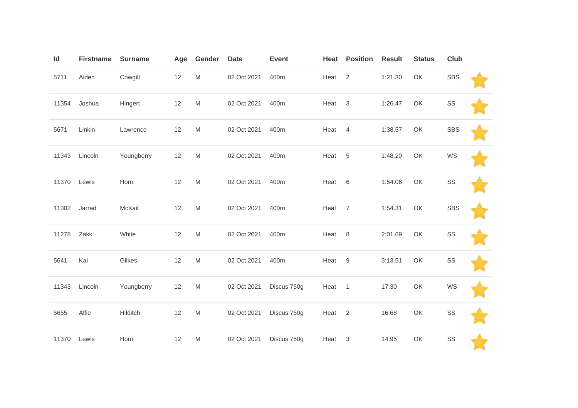| Id    | <b>Firstname</b> | <b>Surname</b> | Age | Gender                                                                                                     | <b>Date</b> | <b>Event</b> | Heat              | <b>Position</b>  | <b>Result</b> | <b>Status</b> | Club       |  |
|-------|------------------|----------------|-----|------------------------------------------------------------------------------------------------------------|-------------|--------------|-------------------|------------------|---------------|---------------|------------|--|
| 5711  | Aiden            | Cowgill        | 12  | $\mathsf{M}% _{T}=\mathsf{M}_{T}\!\left( a,b\right) ,\ \mathsf{M}_{T}=\mathsf{M}_{T}\!\left( a,b\right) ,$ | 02 Oct 2021 | 400m         | Heat              | 2                | 1:21.30       | OK            | <b>SBS</b> |  |
| 11354 | Joshua           | Hingert        | 12  | $\mathsf{M}% _{T}=\mathsf{M}_{T}\!\left( a,b\right) ,\ \mathsf{M}_{T}=\mathsf{M}_{T}\!\left( a,b\right) ,$ | 02 Oct 2021 | 400m         | Heat              | $\sqrt{3}$       | 1:26.47       | OK            | SS         |  |
| 5671  | Linkin           | Lawrence       | 12  | $\mathsf{M}% _{T}=\mathsf{M}_{T}\!\left( a,b\right) ,\ \mathsf{M}_{T}=\mathsf{M}_{T}\!\left( a,b\right) ,$ | 02 Oct 2021 | 400m         | Heat              | 4                | 1:38.57       | OK            | <b>SBS</b> |  |
| 11343 | Lincoln          | Youngberry     | 12  | M                                                                                                          | 02 Oct 2021 | 400m         | Heat              | $\,$ 5 $\,$      | 1:48.20       | OK            | WS         |  |
| 11370 | Lewis            | Horn           | 12  | $\mathsf{M}% _{T}=\mathsf{M}_{T}\!\left( a,b\right) ,\ \mathsf{M}_{T}=\mathsf{M}_{T}\!\left( a,b\right) ,$ | 02 Oct 2021 | 400m         | Heat              | 6                | 1:54.06       | OK            | SS         |  |
| 11302 | Jarrad           | McKail         | 12  | $\mathsf{M}% _{T}=\mathsf{M}_{T}\!\left( a,b\right) ,\ \mathsf{M}_{T}=\mathsf{M}_{T}\!\left( a,b\right) ,$ | 02 Oct 2021 | 400m         | Heat              | $\overline{7}$   | 1:54.31       | OK            | <b>SBS</b> |  |
| 11278 | Zakk             | White          | 12  | $\mathsf{M}% _{T}=\mathsf{M}_{T}\!\left( a,b\right) ,\ \mathsf{M}_{T}=\mathsf{M}_{T}\!\left( a,b\right) ,$ | 02 Oct 2021 | 400m         | Heat              | $\,8\,$          | 2:01.69       | OK            | SS         |  |
| 5641  | Kai              | Gilkes         | 12  | $\mathsf{M}% _{T}=\mathsf{M}_{T}\!\left( a,b\right) ,\ \mathsf{M}_{T}=\mathsf{M}_{T}\!\left( a,b\right) ,$ | 02 Oct 2021 | 400m         | Heat              | $\boldsymbol{9}$ | 3:13.51       | OK            | SS         |  |
| 11343 | Lincoln          | Youngberry     | 12  | $\mathsf{M}% _{T}=\mathsf{M}_{T}\!\left( a,b\right) ,\ \mathsf{M}_{T}=\mathsf{M}_{T}\!\left( a,b\right) ,$ | 02 Oct 2021 | Discus 750g  | Heat              | $\overline{1}$   | 17.30         | OK            | WS         |  |
| 5655  | Alfie            | Hilditch       | 12  | $\mathsf{M}% _{T}=\mathsf{M}_{T}\!\left( a,b\right) ,\ \mathsf{M}_{T}=\mathsf{M}_{T}\!\left( a,b\right) ,$ | 02 Oct 2021 | Discus 750g  | Heat <sub>2</sub> |                  | 16.68         | OK            | SS         |  |
| 11370 | Lewis            | Horn           | 12  | M                                                                                                          | 02 Oct 2021 | Discus 750g  | Heat              | 3                | 14.95         | OK            | SS         |  |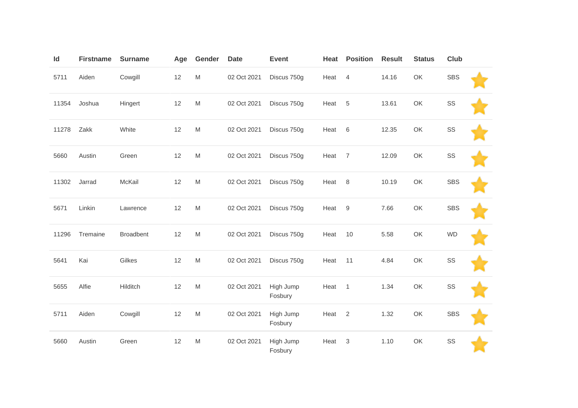| Id    | <b>Firstname</b> | <b>Surname</b>   | Age | Gender                                                                                                     | <b>Date</b> | <b>Event</b>         | Heat | <b>Position</b> | <b>Result</b> | <b>Status</b> | <b>Club</b> |  |
|-------|------------------|------------------|-----|------------------------------------------------------------------------------------------------------------|-------------|----------------------|------|-----------------|---------------|---------------|-------------|--|
| 5711  | Aiden            | Cowgill          | 12  | $\mathsf{M}% _{T}=\mathsf{M}_{T}\!\left( a,b\right) ,\ \mathsf{M}_{T}=\mathsf{M}_{T}\!\left( a,b\right) ,$ | 02 Oct 2021 | Discus 750g          | Heat | $\overline{4}$  | 14.16         | OK            | <b>SBS</b>  |  |
| 11354 | Joshua           | Hingert          | 12  | $\mathsf{M}% _{T}=\mathsf{M}_{T}\!\left( a,b\right) ,\ \mathsf{M}_{T}=\mathsf{M}_{T}$                      | 02 Oct 2021 | Discus 750g          | Heat | 5               | 13.61         | OK            | SS          |  |
| 11278 | Zakk             | White            | 12  | $\mathsf{M}% _{T}=\mathsf{M}_{T}\!\left( a,b\right) ,\ \mathsf{M}_{T}=\mathsf{M}_{T}\!\left( a,b\right) ,$ | 02 Oct 2021 | Discus 750g          | Heat | $6\,$           | 12.35         | OK            | SS          |  |
| 5660  | Austin           | Green            | 12  | $\mathsf{M}% _{T}=\mathsf{M}_{T}\!\left( a,b\right) ,\ \mathsf{M}_{T}=\mathsf{M}_{T}\!\left( a,b\right) ,$ | 02 Oct 2021 | Discus 750g          | Heat | $\overline{7}$  | 12.09         | OK            | SS          |  |
| 11302 | Jarrad           | McKail           | 12  | $\mathsf{M}% _{T}=\mathsf{M}_{T}\!\left( a,b\right) ,\ \mathsf{M}_{T}=\mathsf{M}_{T}\!\left( a,b\right) ,$ | 02 Oct 2021 | Discus 750g          | Heat | $\,8\,$         | 10.19         | OK            | <b>SBS</b>  |  |
| 5671  | Linkin           | Lawrence         | 12  | $\mathsf{M}% _{T}=\mathsf{M}_{T}\!\left( a,b\right) ,\ \mathsf{M}_{T}=\mathsf{M}_{T}$                      | 02 Oct 2021 | Discus 750g          | Heat | 9               | 7.66          | OK            | <b>SBS</b>  |  |
| 11296 | Tremaine         | <b>Broadbent</b> | 12  | $\mathsf{M}% _{T}=\mathsf{M}_{T}\!\left( a,b\right) ,\ \mathsf{M}_{T}=\mathsf{M}_{T}\!\left( a,b\right) ,$ | 02 Oct 2021 | Discus 750g          | Heat | 10              | 5.58          | OK            | <b>WD</b>   |  |
| 5641  | Kai              | Gilkes           | 12  | $\mathsf{M}% _{T}=\mathsf{M}_{T}\!\left( a,b\right) ,\ \mathsf{M}_{T}=\mathsf{M}_{T}$                      | 02 Oct 2021 | Discus 750g          | Heat | 11              | 4.84          | OK            | SS          |  |
| 5655  | Alfie            | Hilditch         | 12  | $\mathsf{M}% _{T}=\mathsf{M}_{T}\!\left( a,b\right) ,\ \mathsf{M}_{T}=\mathsf{M}_{T}\!\left( a,b\right) ,$ | 02 Oct 2021 | High Jump<br>Fosbury | Heat | $\mathbf{1}$    | 1.34          | OK            | SS          |  |
| 5711  | Aiden            | Cowgill          | 12  | $\mathsf{M}% _{T}=\mathsf{M}_{T}\!\left( a,b\right) ,\ \mathsf{M}_{T}=\mathsf{M}_{T}$                      | 02 Oct 2021 | High Jump<br>Fosbury | Heat | 2               | 1.32          | OK            | <b>SBS</b>  |  |
| 5660  | Austin           | Green            | 12  | $\mathsf{M}% _{T}=\mathsf{M}_{T}\!\left( a,b\right) ,\ \mathsf{M}_{T}=\mathsf{M}_{T}\!\left( a,b\right) ,$ | 02 Oct 2021 | High Jump<br>Fosbury | Heat | $\sqrt{3}$      | 1.10          | OK            | SS          |  |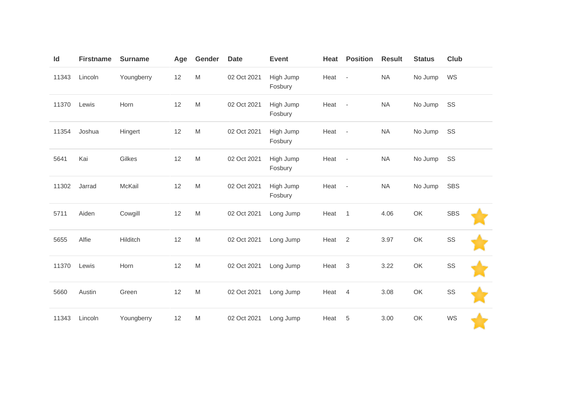| Id    | <b>Firstname</b> | <b>Surname</b> | Age | Gender                                                                                                     | <b>Date</b> | <b>Event</b>         | Heat | <b>Position</b>          | <b>Result</b> | <b>Status</b> | Club       |  |
|-------|------------------|----------------|-----|------------------------------------------------------------------------------------------------------------|-------------|----------------------|------|--------------------------|---------------|---------------|------------|--|
| 11343 | Lincoln          | Youngberry     | 12  | $\mathsf{M}% _{T}=\mathsf{M}_{T}\!\left( a,b\right) ,\ \mathsf{M}_{T}=\mathsf{M}_{T}\!\left( a,b\right) ,$ | 02 Oct 2021 | High Jump<br>Fosbury | Heat | $\overline{\phantom{a}}$ | <b>NA</b>     | No Jump       | WS         |  |
| 11370 | Lewis            | Horn           | 12  | $\mathsf{M}% _{T}=\mathsf{M}_{T}\!\left( a,b\right) ,\ \mathsf{M}_{T}=\mathsf{M}_{T}\!\left( a,b\right) ,$ | 02 Oct 2021 | High Jump<br>Fosbury | Heat | $\overline{\phantom{a}}$ | <b>NA</b>     | No Jump       | SS         |  |
| 11354 | Joshua           | Hingert        | 12  | $\mathsf{M}% _{T}=\mathsf{M}_{T}\!\left( a,b\right) ,\ \mathsf{M}_{T}=\mathsf{M}_{T}\!\left( a,b\right) ,$ | 02 Oct 2021 | High Jump<br>Fosbury | Heat | $\overline{\phantom{a}}$ | <b>NA</b>     | No Jump       | SS         |  |
| 5641  | Kai              | Gilkes         | 12  | $\mathsf{M}% _{T}=\mathsf{M}_{T}\!\left( a,b\right) ,\ \mathsf{M}_{T}=\mathsf{M}_{T}\!\left( a,b\right) ,$ | 02 Oct 2021 | High Jump<br>Fosbury | Heat | $\overline{\phantom{a}}$ | <b>NA</b>     | No Jump       | SS         |  |
| 11302 | Jarrad           | McKail         | 12  | M                                                                                                          | 02 Oct 2021 | High Jump<br>Fosbury | Heat | $\overline{\phantom{a}}$ | <b>NA</b>     | No Jump       | <b>SBS</b> |  |
| 5711  | Aiden            | Cowgill        | 12  | $\mathsf{M}% _{T}=\mathsf{M}_{T}\!\left( a,b\right) ,\ \mathsf{M}_{T}=\mathsf{M}_{T}\!\left( a,b\right) ,$ | 02 Oct 2021 | Long Jump            | Heat | $\overline{1}$           | 4.06          | OK            | <b>SBS</b> |  |
| 5655  | Alfie            | Hilditch       | 12  | $\mathsf{M}% _{T}=\mathsf{M}_{T}\!\left( a,b\right) ,\ \mathsf{M}_{T}=\mathsf{M}_{T}\!\left( a,b\right) ,$ | 02 Oct 2021 | Long Jump            | Heat | $\overline{2}$           | 3.97          | OK            | SS         |  |
| 11370 | Lewis            | Horn           | 12  | $\mathsf{M}% _{T}=\mathsf{M}_{T}\!\left( a,b\right) ,\ \mathsf{M}_{T}=\mathsf{M}_{T}\!\left( a,b\right) ,$ | 02 Oct 2021 | Long Jump            | Heat | 3                        | 3.22          | OK            | SS         |  |
| 5660  | Austin           | Green          | 12  | $\mathsf{M}% _{T}=\mathsf{M}_{T}\!\left( a,b\right) ,\ \mathsf{M}_{T}=\mathsf{M}_{T}\!\left( a,b\right) ,$ | 02 Oct 2021 | Long Jump            | Heat | $\overline{4}$           | 3.08          | OK            | SS         |  |
| 11343 | Lincoln          | Youngberry     | 12  | $\mathsf{M}% _{T}=\mathsf{M}_{T}\!\left( a,b\right) ,\ \mathsf{M}_{T}=\mathsf{M}_{T}\!\left( a,b\right) ,$ | 02 Oct 2021 | Long Jump            | Heat | 5                        | 3.00          | OK            | WS         |  |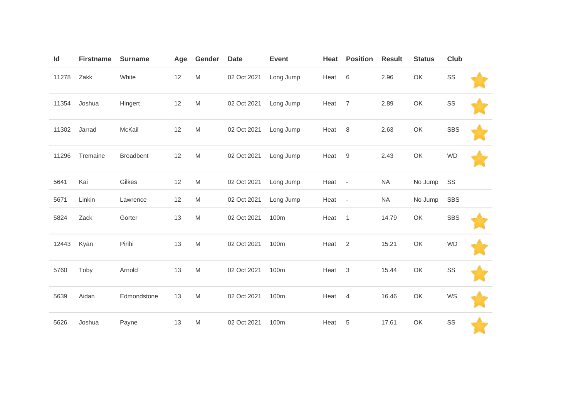| Id    | <b>Firstname</b> | <b>Surname</b>   | Age | Gender    | <b>Date</b> | <b>Event</b> | Heat | <b>Position</b>          | <b>Result</b> | <b>Status</b> | <b>Club</b> |  |
|-------|------------------|------------------|-----|-----------|-------------|--------------|------|--------------------------|---------------|---------------|-------------|--|
| 11278 | Zakk             | White            | 12  | M         | 02 Oct 2021 | Long Jump    | Heat | 6                        | 2.96          | OK            | SS          |  |
| 11354 | Joshua           | Hingert          | 12  | M         | 02 Oct 2021 | Long Jump    | Heat | 7                        | 2.89          | OK            | SS          |  |
| 11302 | Jarrad           | McKail           | 12  | ${\sf M}$ | 02 Oct 2021 | Long Jump    | Heat | 8                        | 2.63          | OK            | <b>SBS</b>  |  |
| 11296 | Tremaine         | <b>Broadbent</b> | 12  | M         | 02 Oct 2021 | Long Jump    | Heat | 9                        | 2.43          | OK            | <b>WD</b>   |  |
| 5641  | Kai              | Gilkes           | 12  | M         | 02 Oct 2021 | Long Jump    | Heat | $\overline{\phantom{a}}$ | <b>NA</b>     | No Jump       | SS          |  |
| 5671  | Linkin           | Lawrence         | 12  | M         | 02 Oct 2021 | Long Jump    | Heat | $\overline{\phantom{a}}$ | <b>NA</b>     | No Jump       | <b>SBS</b>  |  |
| 5824  | Zack             | Gorter           | 13  | M         | 02 Oct 2021 | 100m         | Heat | $\overline{1}$           | 14.79         | OK            | <b>SBS</b>  |  |
| 12443 | Kyan             | Pirihi           | 13  | M         | 02 Oct 2021 | 100m         | Heat | 2                        | 15.21         | OK            | <b>WD</b>   |  |
| 5760  | Toby             | Arnold           | 13  | M         | 02 Oct 2021 | 100m         | Heat | 3                        | 15.44         | OK            | SS          |  |
| 5639  | Aidan            | Edmondstone      | 13  | M         | 02 Oct 2021 | 100m         | Heat | $\overline{4}$           | 16.46         | OK            | WS          |  |
| 5626  | Joshua           | Payne            | 13  | ${\sf M}$ | 02 Oct 2021 | 100m         | Heat | 5                        | 17.61         | OK            | SS          |  |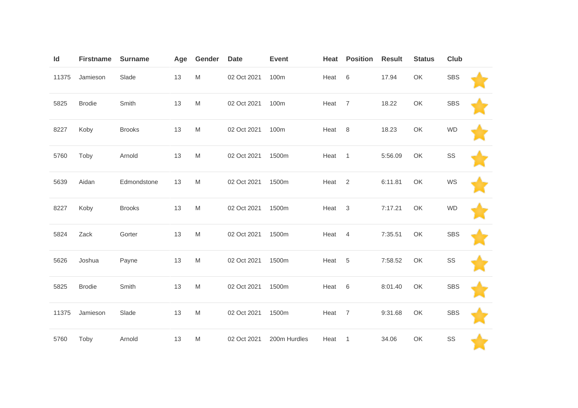| Id    | <b>Firstname</b> | <b>Surname</b> | Age | Gender                                                                                                     | <b>Date</b> | <b>Event</b> | Heat | <b>Position</b> | <b>Result</b> | <b>Status</b> | Club       |  |
|-------|------------------|----------------|-----|------------------------------------------------------------------------------------------------------------|-------------|--------------|------|-----------------|---------------|---------------|------------|--|
| 11375 | Jamieson         | Slade          | 13  | M                                                                                                          | 02 Oct 2021 | 100m         | Heat | 6               | 17.94         | OK            | <b>SBS</b> |  |
| 5825  | <b>Brodie</b>    | Smith          | 13  | $\mathsf{M}% _{T}=\mathsf{M}_{T}\!\left( a,b\right) ,\ \mathsf{M}_{T}=\mathsf{M}_{T}\!\left( a,b\right) ,$ | 02 Oct 2021 | 100m         | Heat | $\overline{7}$  | 18.22         | OK            | <b>SBS</b> |  |
| 8227  | Koby             | <b>Brooks</b>  | 13  | $\mathsf{M}% _{T}=\mathsf{M}_{T}\!\left( a,b\right) ,\ \mathsf{M}_{T}=\mathsf{M}_{T}\!\left( a,b\right) ,$ | 02 Oct 2021 | 100m         | Heat | 8               | 18.23         | OK            | <b>WD</b>  |  |
| 5760  | Toby             | Arnold         | 13  | M                                                                                                          | 02 Oct 2021 | 1500m        | Heat | $\overline{1}$  | 5:56.09       | OK            | SS         |  |
| 5639  | Aidan            | Edmondstone    | 13  | $\mathsf{M}% _{T}=\mathsf{M}_{T}\!\left( a,b\right) ,\ \mathsf{M}_{T}=\mathsf{M}_{T}\!\left( a,b\right) ,$ | 02 Oct 2021 | 1500m        | Heat | $\overline{2}$  | 6:11.81       | OK            | WS         |  |
| 8227  | Koby             | <b>Brooks</b>  | 13  | $\mathsf{M}% _{T}=\mathsf{M}_{T}\!\left( a,b\right) ,\ \mathsf{M}_{T}=\mathsf{M}_{T}\!\left( a,b\right) ,$ | 02 Oct 2021 | 1500m        | Heat | $\mathbf{3}$    | 7:17.21       | OK            | <b>WD</b>  |  |
| 5824  | Zack             | Gorter         | 13  | ${\sf M}$                                                                                                  | 02 Oct 2021 | 1500m        | Heat | $\overline{4}$  | 7:35.51       | OK            | <b>SBS</b> |  |
| 5626  | Joshua           | Payne          | 13  | M                                                                                                          | 02 Oct 2021 | 1500m        | Heat | 5               | 7:58.52       | OK            | SS         |  |
| 5825  | <b>Brodie</b>    | Smith          | 13  | $\mathsf{M}% _{T}=\mathsf{M}_{T}\!\left( a,b\right) ,\ \mathsf{M}_{T}=\mathsf{M}_{T}\!\left( a,b\right) ,$ | 02 Oct 2021 | 1500m        | Heat | 6               | 8:01.40       | OK            | <b>SBS</b> |  |
| 11375 | Jamieson         | Slade          | 13  | M                                                                                                          | 02 Oct 2021 | 1500m        | Heat | $\overline{7}$  | 9:31.68       | OK            | <b>SBS</b> |  |
| 5760  | Toby             | Arnold         | 13  | M                                                                                                          | 02 Oct 2021 | 200m Hurdles | Heat | $\overline{1}$  | 34.06         | OK            | SS         |  |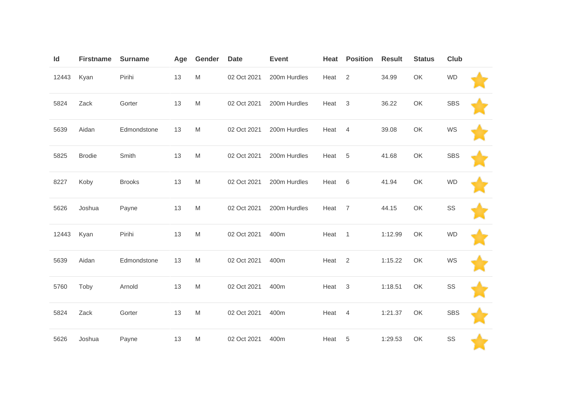| Id    | <b>Firstname</b> | <b>Surname</b> | Age | Gender                                                                                | <b>Date</b> | <b>Event</b> | Heat | <b>Position</b> | <b>Result</b> | <b>Status</b> | <b>Club</b> |  |
|-------|------------------|----------------|-----|---------------------------------------------------------------------------------------|-------------|--------------|------|-----------------|---------------|---------------|-------------|--|
| 12443 | Kyan             | Pirihi         | 13  | $\mathsf{M}% _{T}=\mathsf{M}_{T}\!\left( a,b\right) ,\ \mathsf{M}_{T}=\mathsf{M}_{T}$ | 02 Oct 2021 | 200m Hurdles | Heat | $\overline{2}$  | 34.99         | OK            | <b>WD</b>   |  |
| 5824  | Zack             | Gorter         | 13  | M                                                                                     | 02 Oct 2021 | 200m Hurdles | Heat | 3               | 36.22         | OK            | <b>SBS</b>  |  |
| 5639  | Aidan            | Edmondstone    | 13  | ${\sf M}$                                                                             | 02 Oct 2021 | 200m Hurdles | Heat | $\overline{4}$  | 39.08         | OK            | WS          |  |
| 5825  | <b>Brodie</b>    | Smith          | 13  | M                                                                                     | 02 Oct 2021 | 200m Hurdles | Heat | 5               | 41.68         | OK            | <b>SBS</b>  |  |
| 8227  | Koby             | <b>Brooks</b>  | 13  | M                                                                                     | 02 Oct 2021 | 200m Hurdles | Heat | 6               | 41.94         | OK            | <b>WD</b>   |  |
| 5626  | Joshua           | Payne          | 13  | $\mathsf{M}% _{T}=\mathsf{M}_{T}\!\left( a,b\right) ,\ \mathsf{M}_{T}=\mathsf{M}_{T}$ | 02 Oct 2021 | 200m Hurdles | Heat | $\overline{7}$  | 44.15         | OK            | SS          |  |
| 12443 | Kyan             | Pirihi         | 13  | $\mathsf{M}% _{T}=\mathsf{M}_{T}\!\left( a,b\right) ,\ \mathsf{M}_{T}=\mathsf{M}_{T}$ | 02 Oct 2021 | 400m         | Heat | $\overline{1}$  | 1:12.99       | OK            | <b>WD</b>   |  |
| 5639  | Aidan            | Edmondstone    | 13  | M                                                                                     | 02 Oct 2021 | 400m         | Heat | 2               | 1:15.22       | OK            | WS          |  |
| 5760  | Toby             | Arnold         | 13  | ${\sf M}$                                                                             | 02 Oct 2021 | 400m         | Heat | $\mathbf{3}$    | 1:18.51       | OK            | SS          |  |
| 5824  | Zack             | Gorter         | 13  | $\mathsf{M}% _{T}=\mathsf{M}_{T}\!\left( a,b\right) ,\ \mathsf{M}_{T}=\mathsf{M}_{T}$ | 02 Oct 2021 | 400m         | Heat | 4               | 1:21.37       | OK            | <b>SBS</b>  |  |
| 5626  | Joshua           | Payne          | 13  | M                                                                                     | 02 Oct 2021 | 400m         | Heat | 5               | 1:29.53       | OK            | SS          |  |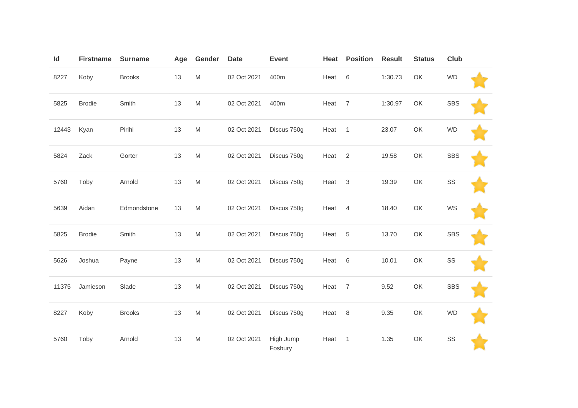| Id    | <b>Firstname</b> | <b>Surname</b> | Age | Gender                                                                                                     | <b>Date</b> | <b>Event</b>         | Heat | <b>Position</b> | <b>Result</b> | <b>Status</b> | <b>Club</b> |  |
|-------|------------------|----------------|-----|------------------------------------------------------------------------------------------------------------|-------------|----------------------|------|-----------------|---------------|---------------|-------------|--|
| 8227  | Koby             | <b>Brooks</b>  | 13  | $\mathsf{M}% _{T}=\mathsf{M}_{T}\!\left( a,b\right) ,\ \mathsf{M}_{T}=\mathsf{M}_{T}\!\left( a,b\right) ,$ | 02 Oct 2021 | 400m                 | Heat | 6               | 1:30.73       | OK            | <b>WD</b>   |  |
| 5825  | <b>Brodie</b>    | Smith          | 13  | $\mathsf{M}% _{T}=\mathsf{M}_{T}\!\left( a,b\right) ,\ \mathsf{M}_{T}=\mathsf{M}_{T}$                      | 02 Oct 2021 | 400m                 | Heat | $\overline{7}$  | 1:30.97       | OK            | <b>SBS</b>  |  |
| 12443 | Kyan             | Pirihi         | 13  | $\mathsf{M}% _{T}=\mathsf{M}_{T}\!\left( a,b\right) ,\ \mathsf{M}_{T}=\mathsf{M}_{T}\!\left( a,b\right) ,$ | 02 Oct 2021 | Discus 750g          | Heat | $\overline{1}$  | 23.07         | OK            | <b>WD</b>   |  |
| 5824  | Zack             | Gorter         | 13  | $\mathsf{M}% _{T}=\mathsf{M}_{T}\!\left( a,b\right) ,\ \mathsf{M}_{T}=\mathsf{M}_{T}\!\left( a,b\right) ,$ | 02 Oct 2021 | Discus 750g          | Heat | 2               | 19.58         | OK            | <b>SBS</b>  |  |
| 5760  | Toby             | Arnold         | 13  | $\mathsf{M}% _{T}=\mathsf{M}_{T}\!\left( a,b\right) ,\ \mathsf{M}_{T}=\mathsf{M}_{T}\!\left( a,b\right) ,$ | 02 Oct 2021 | Discus 750g          | Heat | $\mathbf{3}$    | 19.39         | OK            | SS          |  |
| 5639  | Aidan            | Edmondstone    | 13  | $\mathsf{M}% _{T}=\mathsf{M}_{T}\!\left( a,b\right) ,\ \mathsf{M}_{T}=\mathsf{M}_{T}$                      | 02 Oct 2021 | Discus 750g          | Heat | $\overline{4}$  | 18.40         | OK            | WS          |  |
| 5825  | <b>Brodie</b>    | Smith          | 13  | $\mathsf{M}% _{T}=\mathsf{M}_{T}\!\left( a,b\right) ,\ \mathsf{M}_{T}=\mathsf{M}_{T}\!\left( a,b\right) ,$ | 02 Oct 2021 | Discus 750g          | Heat | $\overline{5}$  | 13.70         | OK            | <b>SBS</b>  |  |
| 5626  | Joshua           | Payne          | 13  | $\mathsf{M}% _{T}=\mathsf{M}_{T}\!\left( a,b\right) ,\ \mathsf{M}_{T}=\mathsf{M}_{T}\!\left( a,b\right) ,$ | 02 Oct 2021 | Discus 750g          | Heat | 6               | 10.01         | OK            | SS          |  |
| 11375 | Jamieson         | Slade          | 13  | $\mathsf{M}% _{T}=\mathsf{M}_{T}\!\left( a,b\right) ,\ \mathsf{M}_{T}=\mathsf{M}_{T}\!\left( a,b\right) ,$ | 02 Oct 2021 | Discus 750g          | Heat | $\overline{7}$  | 9.52          | OK            | <b>SBS</b>  |  |
| 8227  | Koby             | <b>Brooks</b>  | 13  | $\mathsf{M}% _{T}=\mathsf{M}_{T}\!\left( a,b\right) ,\ \mathsf{M}_{T}=\mathsf{M}_{T}\!\left( a,b\right) ,$ | 02 Oct 2021 | Discus 750g          | Heat | 8               | 9.35          | OK            | <b>WD</b>   |  |
| 5760  | Toby             | Arnold         | 13  | M                                                                                                          | 02 Oct 2021 | High Jump<br>Fosbury | Heat | 1               | 1.35          | OK            | SS          |  |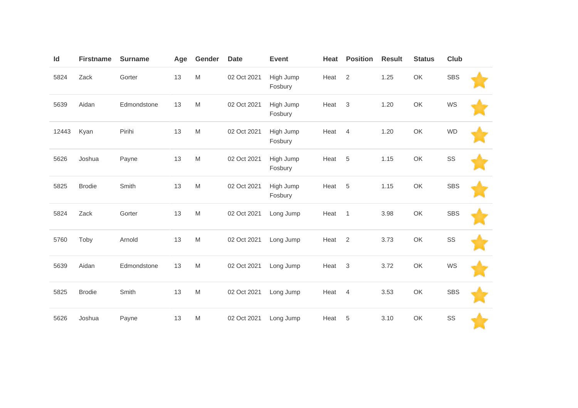| Id    | <b>Firstname</b> | <b>Surname</b> | Age | Gender                                                                                                     | <b>Date</b> | <b>Event</b>         | Heat | <b>Position</b> | <b>Result</b> | <b>Status</b> | <b>Club</b> |  |
|-------|------------------|----------------|-----|------------------------------------------------------------------------------------------------------------|-------------|----------------------|------|-----------------|---------------|---------------|-------------|--|
| 5824  | Zack             | Gorter         | 13  | M                                                                                                          | 02 Oct 2021 | High Jump<br>Fosbury | Heat | 2               | 1.25          | OK            | <b>SBS</b>  |  |
| 5639  | Aidan            | Edmondstone    | 13  | M                                                                                                          | 02 Oct 2021 | High Jump<br>Fosbury | Heat | 3               | 1.20          | OK            | WS          |  |
| 12443 | Kyan             | Pirihi         | 13  | M                                                                                                          | 02 Oct 2021 | High Jump<br>Fosbury | Heat | $\overline{4}$  | 1.20          | OK            | <b>WD</b>   |  |
| 5626  | Joshua           | Payne          | 13  | $\mathsf{M}% _{T}=\mathsf{M}_{T}\!\left( a,b\right) ,\ \mathsf{M}_{T}=\mathsf{M}_{T}\!\left( a,b\right) ,$ | 02 Oct 2021 | High Jump<br>Fosbury | Heat | 5               | 1.15          | OK            | SS          |  |
| 5825  | <b>Brodie</b>    | Smith          | 13  | M                                                                                                          | 02 Oct 2021 | High Jump<br>Fosbury | Heat | 5               | 1.15          | OK            | <b>SBS</b>  |  |
| 5824  | Zack             | Gorter         | 13  | M                                                                                                          | 02 Oct 2021 | Long Jump            | Heat | $\overline{1}$  | 3.98          | OK            | <b>SBS</b>  |  |
| 5760  | Toby             | Arnold         | 13  | $\mathsf{M}% _{T}=\mathsf{M}_{T}\!\left( a,b\right) ,\ \mathsf{M}_{T}=\mathsf{M}_{T}\!\left( a,b\right) ,$ | 02 Oct 2021 | Long Jump            | Heat | $\overline{2}$  | 3.73          | OK            | SS          |  |
| 5639  | Aidan            | Edmondstone    | 13  | M                                                                                                          | 02 Oct 2021 | Long Jump            | Heat | 3               | 3.72          | OK            | WS          |  |
| 5825  | <b>Brodie</b>    | Smith          | 13  | $\mathsf{M}% _{T}=\mathsf{M}_{T}\!\left( a,b\right) ,\ \mathsf{M}_{T}=\mathsf{M}_{T}\!\left( a,b\right) ,$ | 02 Oct 2021 | Long Jump            | Heat | $\overline{4}$  | 3.53          | OK            | <b>SBS</b>  |  |
| 5626  | Joshua           | Payne          | 13  | $\mathsf{M}% _{T}=\mathsf{M}_{T}\!\left( a,b\right) ,\ \mathsf{M}_{T}=\mathsf{M}_{T}\!\left( a,b\right) ,$ | 02 Oct 2021 | Long Jump            | Heat | 5               | 3.10          | OK            | SS          |  |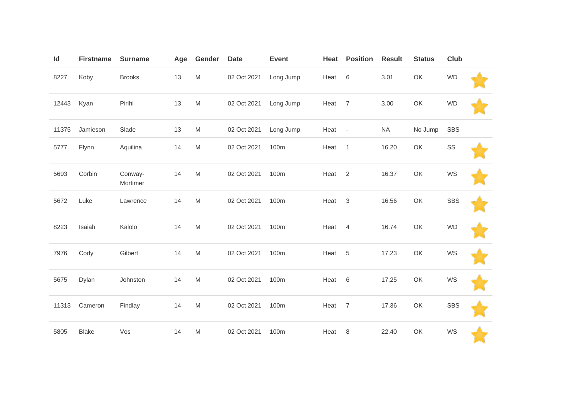| Id    | <b>Firstname</b> | <b>Surname</b>      | Age | Gender                                                                                                     | <b>Date</b> | <b>Event</b> | Heat   | <b>Position</b> | <b>Result</b> | <b>Status</b> | Club       |  |
|-------|------------------|---------------------|-----|------------------------------------------------------------------------------------------------------------|-------------|--------------|--------|-----------------|---------------|---------------|------------|--|
| 8227  | Koby             | <b>Brooks</b>       | 13  | ${\sf M}$                                                                                                  | 02 Oct 2021 | Long Jump    | Heat   | $\,6\,$         | 3.01          | OK            | <b>WD</b>  |  |
| 12443 | Kyan             | Pirihi              | 13  | ${\sf M}$                                                                                                  | 02 Oct 2021 | Long Jump    | Heat   | $\overline{7}$  | 3.00          | OK            | <b>WD</b>  |  |
| 11375 | Jamieson         | Slade               | 13  | ${\sf M}$                                                                                                  | 02 Oct 2021 | Long Jump    | Heat - |                 | <b>NA</b>     | No Jump       | SBS        |  |
| 5777  | Flynn            | Aquilina            | 14  | M                                                                                                          | 02 Oct 2021 | 100m         | Heat   | $\overline{1}$  | 16.20         | OK            | SS         |  |
| 5693  | Corbin           | Conway-<br>Mortimer | 14  | $\mathsf{M}% _{T}=\mathsf{M}_{T}\!\left( a,b\right) ,\ \mathsf{M}_{T}=\mathsf{M}_{T}\!\left( a,b\right) ,$ | 02 Oct 2021 | 100m         | Heat   | $\sqrt{2}$      | 16.37         | OK            | WS         |  |
| 5672  | Luke             | Lawrence            | 14  | $\mathsf{M}% _{T}=\mathsf{M}_{T}\!\left( a,b\right) ,\ \mathsf{M}_{T}=\mathsf{M}_{T}\!\left( a,b\right) ,$ | 02 Oct 2021 | 100m         | Heat   | 3               | 16.56         | OK            | <b>SBS</b> |  |
| 8223  | Isaiah           | Kalolo              | 14  | $\mathsf{M}% _{T}=\mathsf{M}_{T}\!\left( a,b\right) ,\ \mathsf{M}_{T}=\mathsf{M}_{T}\!\left( a,b\right) ,$ | 02 Oct 2021 | 100m         | Heat   | $\overline{4}$  | 16.74         | OK            | <b>WD</b>  |  |
| 7976  | Cody             | Gilbert             | 14  | ${\sf M}$                                                                                                  | 02 Oct 2021 | 100m         | Heat   | $\,$ 5 $\,$     | 17.23         | OK            | WS         |  |
| 5675  | Dylan            | Johnston            | 14  | $\mathsf{M}% _{T}=\mathsf{M}_{T}\!\left( a,b\right) ,\ \mathsf{M}_{T}=\mathsf{M}_{T}\!\left( a,b\right) ,$ | 02 Oct 2021 | 100m         | Heat   | 6               | 17.25         | OK            | WS         |  |
| 11313 | Cameron          | Findlay             | 14  | $\mathsf{M}% _{T}=\mathsf{M}_{T}\!\left( a,b\right) ,\ \mathsf{M}_{T}=\mathsf{M}_{T}\!\left( a,b\right) ,$ | 02 Oct 2021 | 100m         | Heat   | $\overline{7}$  | 17.36         | OK            | <b>SBS</b> |  |
| 5805  | <b>Blake</b>     | Vos                 | 14  | $\mathsf{M}% _{T}=\mathsf{M}_{T}\!\left( a,b\right) ,\ \mathsf{M}_{T}=\mathsf{M}_{T}\!\left( a,b\right) ,$ | 02 Oct 2021 | 100m         | Heat   | 8               | 22.40         | OK            | WS         |  |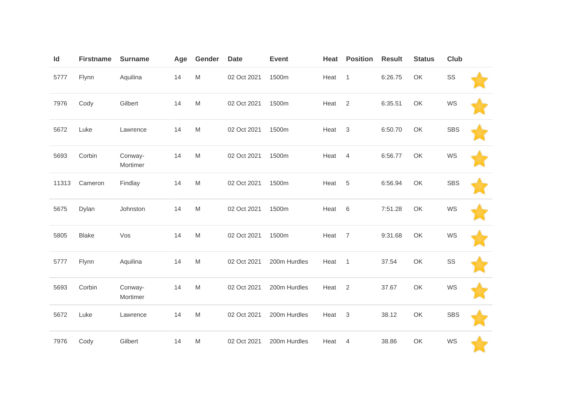| Id    | <b>Firstname</b> | <b>Surname</b>      | Age | Gender                                                                                                     | <b>Date</b> | Event        | Heat | <b>Position</b> | <b>Result</b> | <b>Status</b> | Club       |  |
|-------|------------------|---------------------|-----|------------------------------------------------------------------------------------------------------------|-------------|--------------|------|-----------------|---------------|---------------|------------|--|
| 5777  | Flynn            | Aquilina            | 14  | $\mathsf{M}% _{T}=\mathsf{M}_{T}\!\left( a,b\right) ,\ \mathsf{M}_{T}=\mathsf{M}_{T}\!\left( a,b\right) ,$ | 02 Oct 2021 | 1500m        | Heat | $\overline{1}$  | 6:26.75       | OK            | SS         |  |
| 7976  | Cody             | Gilbert             | 14  | $\mathsf{M}% _{T}=\mathsf{M}_{T}\!\left( a,b\right) ,\ \mathsf{M}_{T}=\mathsf{M}_{T}\!\left( a,b\right) ,$ | 02 Oct 2021 | 1500m        | Heat | 2               | 6:35.51       | OK            | WS         |  |
| 5672  | Luke             | Lawrence            | 14  | M                                                                                                          | 02 Oct 2021 | 1500m        | Heat | 3               | 6:50.70       | OK            | <b>SBS</b> |  |
| 5693  | Corbin           | Conway-<br>Mortimer | 14  | $\mathsf{M}% _{T}=\mathsf{M}_{T}\!\left( a,b\right) ,\ \mathsf{M}_{T}=\mathsf{M}_{T}\!\left( a,b\right) ,$ | 02 Oct 2021 | 1500m        | Heat | $\overline{4}$  | 6:56.77       | OK            | WS         |  |
| 11313 | Cameron          | Findlay             | 14  | ${\sf M}$                                                                                                  | 02 Oct 2021 | 1500m        | Heat | 5               | 6:56.94       | OK            | <b>SBS</b> |  |
| 5675  | Dylan            | Johnston            | 14  | $\mathsf{M}% _{T}=\mathsf{M}_{T}\!\left( a,b\right) ,\ \mathsf{M}_{T}=\mathsf{M}_{T}\!\left( a,b\right) ,$ | 02 Oct 2021 | 1500m        | Heat | 6               | 7:51.28       | OK            | WS         |  |
| 5805  | <b>Blake</b>     | Vos                 | 14  | ${\sf M}$                                                                                                  | 02 Oct 2021 | 1500m        | Heat | $\overline{7}$  | 9:31.68       | OK            | WS         |  |
| 5777  | Flynn            | Aquilina            | 14  | ${\sf M}$                                                                                                  | 02 Oct 2021 | 200m Hurdles | Heat | $\overline{1}$  | 37.54         | OK            | SS         |  |
| 5693  | Corbin           | Conway-<br>Mortimer | 14  | $\mathsf{M}% _{T}=\mathsf{M}_{T}\!\left( a,b\right) ,\ \mathsf{M}_{T}=\mathsf{M}_{T}\!\left( a,b\right) ,$ | 02 Oct 2021 | 200m Hurdles | Heat | $\overline{2}$  | 37.67         | OK            | WS         |  |
| 5672  | Luke             | Lawrence            | 14  | $\mathsf{M}% _{T}=\mathsf{M}_{T}\!\left( a,b\right) ,\ \mathsf{M}_{T}=\mathsf{M}_{T}\!\left( a,b\right) ,$ | 02 Oct 2021 | 200m Hurdles | Heat | 3               | 38.12         | OK            | <b>SBS</b> |  |
| 7976  | Cody             | Gilbert             | 14  | M                                                                                                          | 02 Oct 2021 | 200m Hurdles | Heat | 4               | 38.86         | OK            | WS         |  |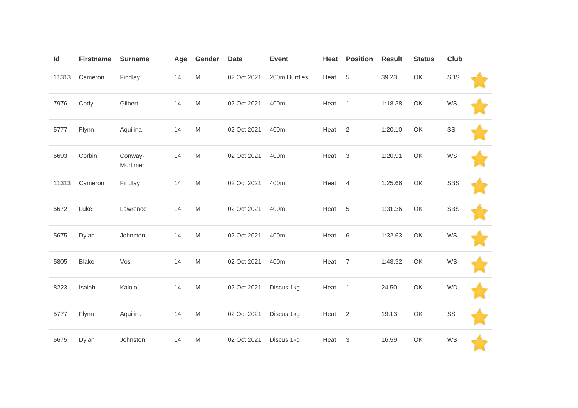| Id    | <b>Firstname</b> | <b>Surname</b>      | Age | Gender                                                                                                     | <b>Date</b> | <b>Event</b> | Heat   | <b>Position</b>           | <b>Result</b> | <b>Status</b> | Club       |  |
|-------|------------------|---------------------|-----|------------------------------------------------------------------------------------------------------------|-------------|--------------|--------|---------------------------|---------------|---------------|------------|--|
| 11313 | Cameron          | Findlay             | 14  | ${\sf M}$                                                                                                  | 02 Oct 2021 | 200m Hurdles | Heat   | 5                         | 39.23         | OK            | <b>SBS</b> |  |
| 7976  | Cody             | Gilbert             | 14  | $\mathsf{M}% _{T}=\mathsf{M}_{T}\!\left( a,b\right) ,\ \mathsf{M}_{T}=\mathsf{M}_{T}$                      | 02 Oct 2021 | 400m         | Heat   | $\overline{1}$            | 1:18.38       | OK            | WS         |  |
| 5777  | Flynn            | Aquilina            | 14  | M                                                                                                          | 02 Oct 2021 | 400m         | Heat   | $\sqrt{2}$                | 1:20.10       | OK            | SS         |  |
| 5693  | Corbin           | Conway-<br>Mortimer | 14  | M                                                                                                          | 02 Oct 2021 | 400m         | Heat   | $\ensuremath{\mathsf{3}}$ | 1:20.91       | OK            | WS         |  |
| 11313 | Cameron          | Findlay             | 14  | ${\sf M}$                                                                                                  | 02 Oct 2021 | 400m         | Heat 4 |                           | 1:25.66       | OK            | <b>SBS</b> |  |
| 5672  | Luke             | Lawrence            | 14  | M                                                                                                          | 02 Oct 2021 | 400m         | Heat   | 5                         | 1:31.36       | OK            | <b>SBS</b> |  |
| 5675  | Dylan            | Johnston            | 14  | ${\sf M}$                                                                                                  | 02 Oct 2021 | 400m         | Heat   | 6                         | 1:32.63       | OK            | WS         |  |
| 5805  | <b>Blake</b>     | Vos                 | 14  | $\mathsf{M}% _{T}=\mathsf{M}_{T}\!\left( a,b\right) ,\ \mathsf{M}_{T}=\mathsf{M}_{T}\!\left( a,b\right) ,$ | 02 Oct 2021 | 400m         | Heat   | $\overline{7}$            | 1:48.32       | OK            | WS         |  |
| 8223  | Isaiah           | Kalolo              | 14  | $\mathsf{M}% _{T}=\mathsf{M}_{T}\!\left( a,b\right) ,\ \mathsf{M}_{T}=\mathsf{M}_{T}\!\left( a,b\right) ,$ | 02 Oct 2021 | Discus 1kg   | Heat   | $\mathbf{1}$              | 24.50         | OK            | <b>WD</b>  |  |
| 5777  | Flynn            | Aquilina            | 14  | ${\sf M}$                                                                                                  | 02 Oct 2021 | Discus 1kg   | Heat   | $\overline{2}$            | 19.13         | OK            | SS         |  |
| 5675  | Dylan            | Johnston            | 14  | M                                                                                                          | 02 Oct 2021 | Discus 1kg   | Heat   | $\mathsf 3$               | 16.59         | OK            | WS         |  |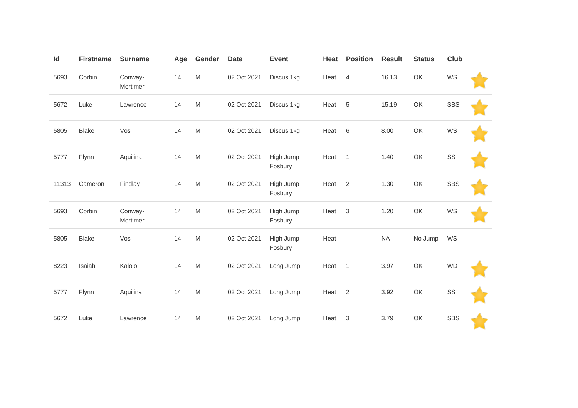| Id    | <b>Firstname</b> | <b>Surname</b>      | Age | Gender                                                                                | <b>Date</b> | <b>Event</b>         | Heat | <b>Position</b>          | <b>Result</b> | <b>Status</b> | Club       |  |
|-------|------------------|---------------------|-----|---------------------------------------------------------------------------------------|-------------|----------------------|------|--------------------------|---------------|---------------|------------|--|
| 5693  | Corbin           | Conway-<br>Mortimer | 14  | $\mathsf{M}% _{T}=\mathsf{M}_{T}\!\left( a,b\right) ,\ \mathsf{M}_{T}=\mathsf{M}_{T}$ | 02 Oct 2021 | Discus 1kg           | Heat | $\overline{4}$           | 16.13         | OK            | WS         |  |
| 5672  | Luke             | Lawrence            | 14  | M                                                                                     | 02 Oct 2021 | Discus 1kg           | Heat | 5                        | 15.19         | OK            | <b>SBS</b> |  |
| 5805  | <b>Blake</b>     | Vos                 | 14  | M                                                                                     | 02 Oct 2021 | Discus 1kg           | Heat | $6\,$                    | 8.00          | OK            | WS         |  |
| 5777  | Flynn            | Aquilina            | 14  | M                                                                                     | 02 Oct 2021 | High Jump<br>Fosbury | Heat | $\overline{1}$           | 1.40          | OK            | SS         |  |
| 11313 | Cameron          | Findlay             | 14  | M                                                                                     | 02 Oct 2021 | High Jump<br>Fosbury | Heat | $\overline{2}$           | 1.30          | OK            | <b>SBS</b> |  |
| 5693  | Corbin           | Conway-<br>Mortimer | 14  | M                                                                                     | 02 Oct 2021 | High Jump<br>Fosbury | Heat | 3                        | 1.20          | OK            | WS         |  |
| 5805  | <b>Blake</b>     | Vos                 | 14  | $\mathsf{M}% _{T}=\mathsf{M}_{T}\!\left( a,b\right) ,\ \mathsf{M}_{T}=\mathsf{M}_{T}$ | 02 Oct 2021 | High Jump<br>Fosbury | Heat | $\overline{\phantom{a}}$ | <b>NA</b>     | No Jump       | WS         |  |
| 8223  | Isaiah           | Kalolo              | 14  | M                                                                                     | 02 Oct 2021 | Long Jump            | Heat | $\overline{1}$           | 3.97          | OK            | <b>WD</b>  |  |
| 5777  | Flynn            | Aquilina            | 14  | M                                                                                     | 02 Oct 2021 | Long Jump            | Heat | $\overline{2}$           | 3.92          | OK            | SS         |  |
| 5672  | Luke             | Lawrence            | 14  | M                                                                                     | 02 Oct 2021 | Long Jump            | Heat | 3                        | 3.79          | OK            | <b>SBS</b> |  |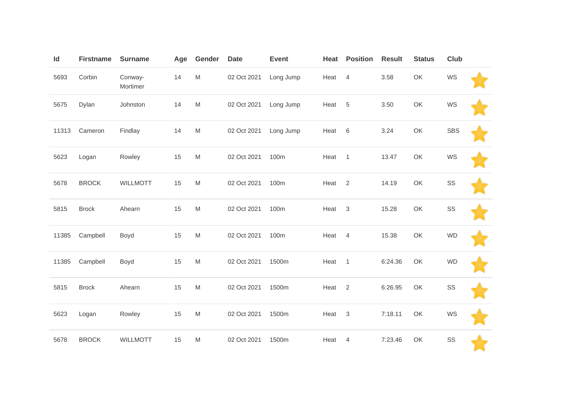| Id    | <b>Firstname</b> | <b>Surname</b>      | Age | Gender                                                                                | <b>Date</b> | <b>Event</b> | Heat | <b>Position</b> | <b>Result</b> | <b>Status</b> | <b>Club</b> |  |
|-------|------------------|---------------------|-----|---------------------------------------------------------------------------------------|-------------|--------------|------|-----------------|---------------|---------------|-------------|--|
| 5693  | Corbin           | Conway-<br>Mortimer | 14  | M                                                                                     | 02 Oct 2021 | Long Jump    | Heat | $\overline{4}$  | 3.58          | OK            | WS          |  |
| 5675  | Dylan            | Johnston            | 14  | $\mathsf{M}% _{T}=\mathsf{M}_{T}\!\left( a,b\right) ,\ \mathsf{M}_{T}=\mathsf{M}_{T}$ | 02 Oct 2021 | Long Jump    | Heat | 5               | 3.50          | OK            | WS          |  |
| 11313 | Cameron          | Findlay             | 14  | $\mathsf{M}% _{T}=\mathsf{M}_{T}\!\left( a,b\right) ,\ \mathsf{M}_{T}=\mathsf{M}_{T}$ | 02 Oct 2021 | Long Jump    | Heat | 6               | 3.24          | OK            | <b>SBS</b>  |  |
| 5623  | Logan            | Rowley              | 15  | $\mathsf{M}% _{T}=\mathsf{M}_{T}\!\left( a,b\right) ,\ \mathsf{M}_{T}=\mathsf{M}_{T}$ | 02 Oct 2021 | 100m         | Heat | $\overline{1}$  | 13.47         | OK            | WS          |  |
| 5678  | <b>BROCK</b>     | <b>WILLMOTT</b>     | 15  | $\mathsf{M}% _{T}=\mathsf{M}_{T}\!\left( a,b\right) ,\ \mathsf{M}_{T}=\mathsf{M}_{T}$ | 02 Oct 2021 | 100m         | Heat | $\overline{2}$  | 14.19         | OK            | SS          |  |
| 5815  | <b>Brock</b>     | Ahearn              | 15  | M                                                                                     | 02 Oct 2021 | 100m         | Heat | $\overline{3}$  | 15.28         | OK            | SS          |  |
| 11385 | Campbell         | Boyd                | 15  | $\mathsf{M}% _{T}=\mathsf{M}_{T}\!\left( a,b\right) ,\ \mathsf{M}_{T}=\mathsf{M}_{T}$ | 02 Oct 2021 | 100m         | Heat | $\overline{4}$  | 15.38         | OK            | <b>WD</b>   |  |
| 11385 | Campbell         | Boyd                | 15  | M                                                                                     | 02 Oct 2021 | 1500m        | Heat | $\overline{1}$  | 6:24.36       | OK            | <b>WD</b>   |  |
| 5815  | <b>Brock</b>     | Ahearn              | 15  | $\mathsf{M}% _{T}=\mathsf{M}_{T}\!\left( a,b\right) ,\ \mathsf{M}_{T}=\mathsf{M}_{T}$ | 02 Oct 2021 | 1500m        | Heat | 2               | 6:26.95       | OK            | SS          |  |
| 5623  | Logan            | Rowley              | 15  | $\mathsf{M}% _{T}=\mathsf{M}_{T}\!\left( a,b\right) ,\ \mathsf{M}_{T}=\mathsf{M}_{T}$ | 02 Oct 2021 | 1500m        | Heat | $\mathbf{3}$    | 7:18.11       | OK            | WS          |  |
| 5678  | <b>BROCK</b>     | <b>WILLMOTT</b>     | 15  | M                                                                                     | 02 Oct 2021 | 1500m        | Heat | $\overline{4}$  | 7:23.46       | OK            | SS          |  |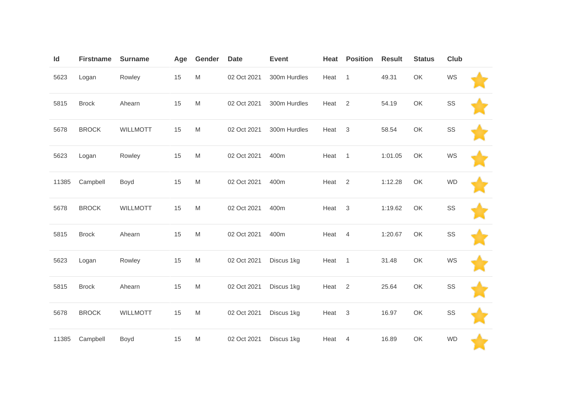| Id    | <b>Firstname</b> | <b>Surname</b>  | Age | Gender                                                                                                     | <b>Date</b> | <b>Event</b> | Heat   | <b>Position</b> | <b>Result</b> | <b>Status</b> | <b>Club</b> |  |
|-------|------------------|-----------------|-----|------------------------------------------------------------------------------------------------------------|-------------|--------------|--------|-----------------|---------------|---------------|-------------|--|
| 5623  | Logan            | Rowley          | 15  | $\mathsf{M}% _{T}=\mathsf{M}_{T}\!\left( a,b\right) ,\ \mathsf{M}_{T}=\mathsf{M}_{T}\!\left( a,b\right) ,$ | 02 Oct 2021 | 300m Hurdles | Heat   | $\overline{1}$  | 49.31         | OK            | WS          |  |
| 5815  | <b>Brock</b>     | Ahearn          | 15  | M                                                                                                          | 02 Oct 2021 | 300m Hurdles | Heat   | 2               | 54.19         | OK            | SS          |  |
| 5678  | <b>BROCK</b>     | <b>WILLMOTT</b> | 15  | $\mathsf{M}% _{T}=\mathsf{M}_{T}\!\left( a,b\right) ,\ \mathsf{M}_{T}=\mathsf{M}_{T}\!\left( a,b\right) ,$ | 02 Oct 2021 | 300m Hurdles | Heat   | $\mathbf 3$     | 58.54         | OK            | SS          |  |
| 5623  | Logan            | Rowley          | 15  | $\mathsf{M}% _{T}=\mathsf{M}_{T}\!\left( a,b\right) ,\ \mathsf{M}_{T}=\mathsf{M}_{T}\!\left( a,b\right) ,$ | 02 Oct 2021 | 400m         | Heat   | $\overline{1}$  | 1:01.05       | OK            | WS          |  |
| 11385 | Campbell         | Boyd            | 15  | M                                                                                                          | 02 Oct 2021 | 400m         | Heat   | $\overline{2}$  | 1:12.28       | OK            | <b>WD</b>   |  |
| 5678  | <b>BROCK</b>     | <b>WILLMOTT</b> | 15  | $\mathsf{M}% _{T}=\mathsf{M}_{T}\!\left( a,b\right) ,\ \mathsf{M}_{T}=\mathsf{M}_{T}\!\left( a,b\right) ,$ | 02 Oct 2021 | 400m         | Heat   | $\mathbf{3}$    | 1:19.62       | OK            | SS          |  |
| 5815  | <b>Brock</b>     | Ahearn          | 15  | $\mathsf{M}% _{T}=\mathsf{M}_{T}\!\left( a,b\right) ,\ \mathsf{M}_{T}=\mathsf{M}_{T}\!\left( a,b\right) ,$ | 02 Oct 2021 | 400m         | Heat   | $\overline{4}$  | 1:20.67       | OK            | SS          |  |
| 5623  | Logan            | Rowley          | 15  | M                                                                                                          | 02 Oct 2021 | Discus 1kg   | Heat 1 |                 | 31.48         | OK            | WS          |  |
| 5815  | <b>Brock</b>     | Ahearn          | 15  | $\mathsf{M}% _{T}=\mathsf{M}_{T}\!\left( a,b\right) ,\ \mathsf{M}_{T}=\mathsf{M}_{T}\!\left( a,b\right) ,$ | 02 Oct 2021 | Discus 1kg   | Heat   | 2               | 25.64         | OK            | SS          |  |
| 5678  | <b>BROCK</b>     | WILLMOTT        | 15  | $\mathsf{M}% _{T}=\mathsf{M}_{T}\!\left( a,b\right) ,\ \mathsf{M}_{T}=\mathsf{M}_{T}\!\left( a,b\right) ,$ | 02 Oct 2021 | Discus 1kg   | Heat   | $\mathbf 3$     | 16.97         | OK            | SS          |  |
| 11385 | Campbell         | Boyd            | 15  | M                                                                                                          | 02 Oct 2021 | Discus 1kg   | Heat   | $\overline{4}$  | 16.89         | OK            | <b>WD</b>   |  |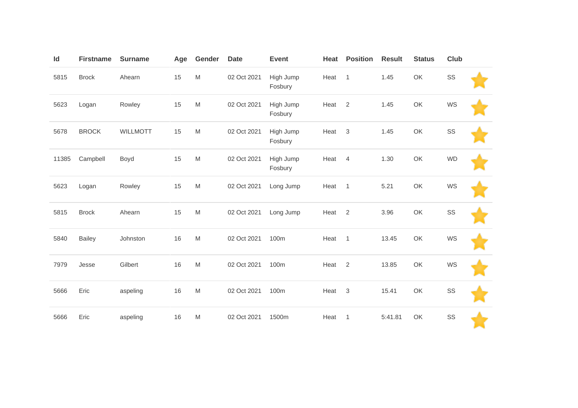| Id    | <b>Firstname</b> | <b>Surname</b>  | Age | Gender                                                                                                     | <b>Date</b> | <b>Event</b>         | Heat | <b>Position</b> | <b>Result</b> | <b>Status</b> | <b>Club</b> |  |
|-------|------------------|-----------------|-----|------------------------------------------------------------------------------------------------------------|-------------|----------------------|------|-----------------|---------------|---------------|-------------|--|
| 5815  | <b>Brock</b>     | Ahearn          | 15  | $\mathsf{M}% _{T}=\mathsf{M}_{T}\!\left( a,b\right) ,\ \mathsf{M}_{T}=\mathsf{M}_{T}\!\left( a,b\right) ,$ | 02 Oct 2021 | High Jump<br>Fosbury | Heat | $\overline{1}$  | 1.45          | OK            | SS          |  |
| 5623  | Logan            | Rowley          | 15  | $\mathsf{M}% _{T}=\mathsf{M}_{T}\!\left( a,b\right) ,\ \mathsf{M}_{T}=\mathsf{M}_{T}$                      | 02 Oct 2021 | High Jump<br>Fosbury | Heat | 2               | 1.45          | OK            | WS          |  |
| 5678  | <b>BROCK</b>     | <b>WILLMOTT</b> | 15  | M                                                                                                          | 02 Oct 2021 | High Jump<br>Fosbury | Heat | 3               | 1.45          | OK            | SS          |  |
| 11385 | Campbell         | Boyd            | 15  | $\mathsf{M}% _{T}=\mathsf{M}_{T}\!\left( a,b\right) ,\ \mathsf{M}_{T}=\mathsf{M}_{T}$                      | 02 Oct 2021 | High Jump<br>Fosbury | Heat | $\overline{4}$  | 1.30          | OK            | <b>WD</b>   |  |
| 5623  | Logan            | Rowley          | 15  | $\mathsf{M}% _{T}=\mathsf{M}_{T}\!\left( a,b\right) ,\ \mathsf{M}_{T}=\mathsf{M}_{T}$                      | 02 Oct 2021 | Long Jump            | Heat | $\overline{1}$  | 5.21          | OK            | WS          |  |
| 5815  | <b>Brock</b>     | Ahearn          | 15  | $\mathsf{M}% _{T}=\mathsf{M}_{T}\!\left( a,b\right) ,\ \mathsf{M}_{T}=\mathsf{M}_{T}\!\left( a,b\right) ,$ | 02 Oct 2021 | Long Jump            | Heat | $\overline{2}$  | 3.96          | OK            | SS          |  |
| 5840  | <b>Bailey</b>    | Johnston        | 16  | $\mathsf{M}% _{T}=\mathsf{M}_{T}\!\left( a,b\right) ,\ \mathsf{M}_{T}=\mathsf{M}_{T}$                      | 02 Oct 2021 | 100m                 | Heat | $\overline{1}$  | 13.45         | OK            | WS          |  |
| 7979  | Jesse            | Gilbert         | 16  | $\mathsf{M}% _{T}=\mathsf{M}_{T}\!\left( a,b\right) ,\ \mathsf{M}_{T}=\mathsf{M}_{T}\!\left( a,b\right) ,$ | 02 Oct 2021 | 100m                 | Heat | 2               | 13.85         | OK            | WS          |  |
| 5666  | Eric             | aspeling        | 16  | ${\sf M}$                                                                                                  | 02 Oct 2021 | 100m                 | Heat | 3               | 15.41         | OK            | SS          |  |
| 5666  | Eric             | aspeling        | 16  | $\mathsf{M}% _{T}=\mathsf{M}_{T}\!\left( a,b\right) ,\ \mathsf{M}_{T}=\mathsf{M}_{T}$                      | 02 Oct 2021 | 1500m                | Heat | $\overline{1}$  | 5:41.81       | OK            | SS          |  |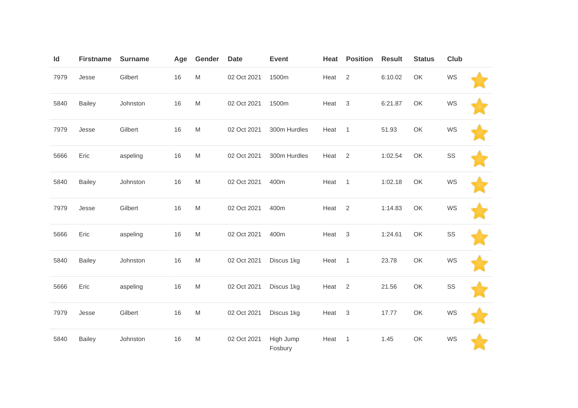| Id   | <b>Firstname</b> | <b>Surname</b> | Age    | Gender                                                                                                     | <b>Date</b> | <b>Event</b>         | Heat | <b>Position</b> | <b>Result</b> | <b>Status</b> | <b>Club</b> |  |
|------|------------------|----------------|--------|------------------------------------------------------------------------------------------------------------|-------------|----------------------|------|-----------------|---------------|---------------|-------------|--|
| 7979 | Jesse            | Gilbert        | 16     | $\mathsf{M}% _{T}=\mathsf{M}_{T}\!\left( a,b\right) ,\ \mathsf{M}_{T}=\mathsf{M}_{T}$                      | 02 Oct 2021 | 1500m                | Heat | 2               | 6:10.02       | OK            | WS          |  |
| 5840 | <b>Bailey</b>    | Johnston       | 16     | $\mathsf{M}% _{T}=\mathsf{M}_{T}\!\left( a,b\right) ,\ \mathsf{M}_{T}=\mathsf{M}_{T}$                      | 02 Oct 2021 | 1500m                | Heat | $\mathbf{3}$    | 6:21.87       | OK            | WS          |  |
| 7979 | Jesse            | Gilbert        | 16     | $\mathsf{M}% _{T}=\mathsf{M}_{T}\!\left( a,b\right) ,\ \mathsf{M}_{T}=\mathsf{M}_{T}\!\left( a,b\right) ,$ | 02 Oct 2021 | 300m Hurdles         | Heat | $\mathbf{1}$    | 51.93         | OK            | WS          |  |
| 5666 | Eric             | aspeling       | $16\,$ | $\mathsf{M}% _{T}=\mathsf{M}_{T}\!\left( a,b\right) ,\ \mathsf{M}_{T}=\mathsf{M}_{T}\!\left( a,b\right) ,$ | 02 Oct 2021 | 300m Hurdles         | Heat | $\overline{2}$  | 1:02.54       | OK            | SS          |  |
| 5840 | <b>Bailey</b>    | Johnston       | 16     | $\mathsf{M}% _{T}=\mathsf{M}_{T}\!\left( a,b\right) ,\ \mathsf{M}_{T}=\mathsf{M}_{T}\!\left( a,b\right) ,$ | 02 Oct 2021 | 400m                 | Heat | $\overline{1}$  | 1:02.18       | OK            | WS          |  |
| 7979 | Jesse            | Gilbert        | 16     | $\mathsf{M}% _{T}=\mathsf{M}_{T}\!\left( a,b\right) ,\ \mathsf{M}_{T}=\mathsf{M}_{T}$                      | 02 Oct 2021 | 400m                 | Heat | 2               | 1:14.83       | OK            | WS          |  |
| 5666 | Eric             | aspeling       | 16     | $\mathsf{M}% _{T}=\mathsf{M}_{T}\!\left( a,b\right) ,\ \mathsf{M}_{T}=\mathsf{M}_{T}$                      | 02 Oct 2021 | 400m                 | Heat | $\mathbf{3}$    | 1:24.61       | OK            | SS          |  |
| 5840 | <b>Bailey</b>    | Johnston       | $16\,$ | $\mathsf{M}% _{T}=\mathsf{M}_{T}\!\left( a,b\right) ,\ \mathsf{M}_{T}=\mathsf{M}_{T}\!\left( a,b\right) ,$ | 02 Oct 2021 | Discus 1kg           | Heat | $\overline{1}$  | 23.78         | OK            | WS          |  |
| 5666 | Eric             | aspeling       | 16     | $\mathsf{M}% _{T}=\mathsf{M}_{T}\!\left( a,b\right) ,\ \mathsf{M}_{T}=\mathsf{M}_{T}$                      | 02 Oct 2021 | Discus 1kg           | Heat | 2               | 21.56         | OK            | SS          |  |
| 7979 | Jesse            | Gilbert        | 16     | $\mathsf{M}% _{T}=\mathsf{M}_{T}\!\left( a,b\right) ,\ \mathsf{M}_{T}=\mathsf{M}_{T}$                      | 02 Oct 2021 | Discus 1kg           | Heat | $\mathbf 3$     | 17.77         | OK            | WS          |  |
| 5840 | <b>Bailey</b>    | Johnston       | 16     | M                                                                                                          | 02 Oct 2021 | High Jump<br>Fosbury | Heat | 1               | 1.45          | OK            | WS          |  |